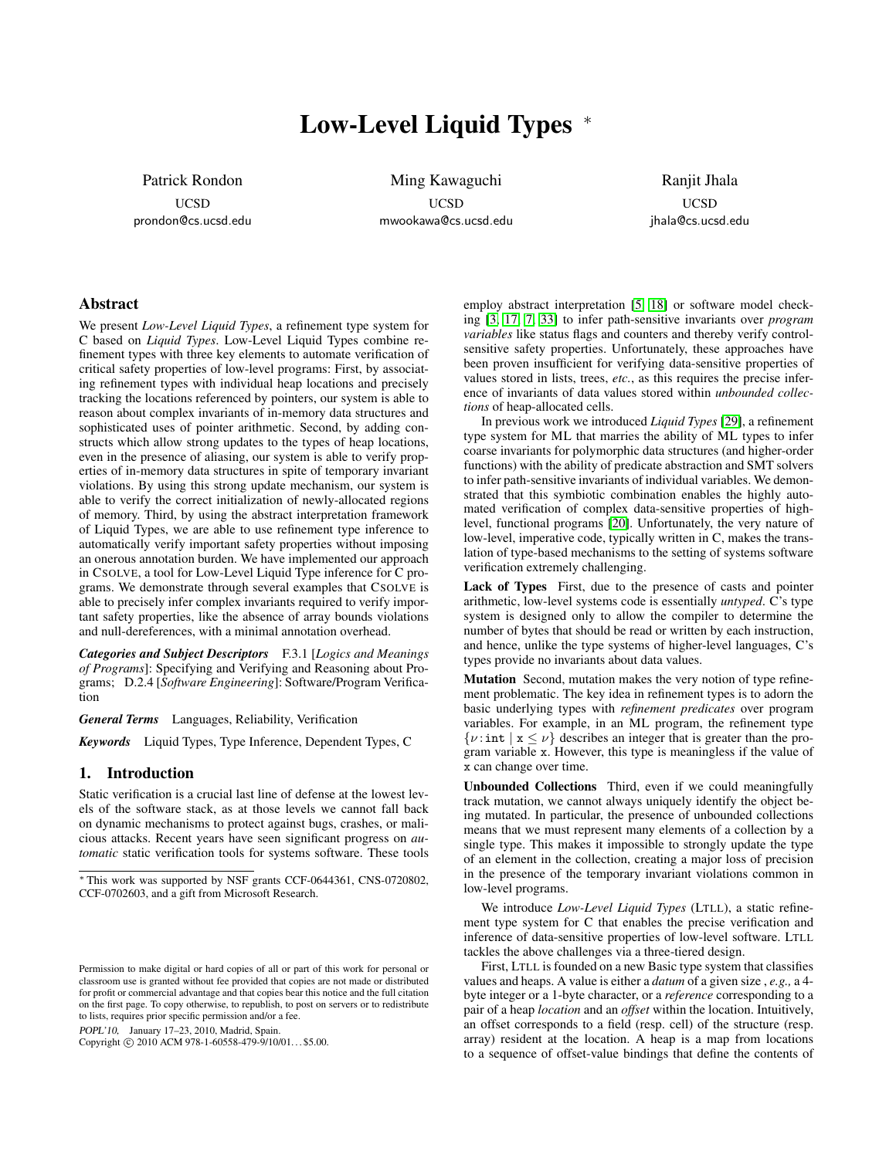# Low-Level Liquid Types <sup>∗</sup>

Patrick Rondon UCSD prondon@cs.ucsd.edu

Ming Kawaguchi UCSD mwookawa@cs.ucsd.edu

Ranjit Jhala UCSD jhala@cs.ucsd.edu

# Abstract

We present *Low-Level Liquid Types*, a refinement type system for C based on *Liquid Types*. Low-Level Liquid Types combine refinement types with three key elements to automate verification of critical safety properties of low-level programs: First, by associating refinement types with individual heap locations and precisely tracking the locations referenced by pointers, our system is able to reason about complex invariants of in-memory data structures and sophisticated uses of pointer arithmetic. Second, by adding constructs which allow strong updates to the types of heap locations, even in the presence of aliasing, our system is able to verify properties of in-memory data structures in spite of temporary invariant violations. By using this strong update mechanism, our system is able to verify the correct initialization of newly-allocated regions of memory. Third, by using the abstract interpretation framework of Liquid Types, we are able to use refinement type inference to automatically verify important safety properties without imposing an onerous annotation burden. We have implemented our approach in CSOLVE, a tool for Low-Level Liquid Type inference for C programs. We demonstrate through several examples that CSOLVE is able to precisely infer complex invariants required to verify important safety properties, like the absence of array bounds violations and null-dereferences, with a minimal annotation overhead.

*Categories and Subject Descriptors* F.3.1 [*Logics and Meanings of Programs*]: Specifying and Verifying and Reasoning about Programs; D.2.4 [*Software Engineering*]: Software/Program Verification

*General Terms* Languages, Reliability, Verification

*Keywords* Liquid Types, Type Inference, Dependent Types, C

## 1. Introduction

Static verification is a crucial last line of defense at the lowest levels of the software stack, as at those levels we cannot fall back on dynamic mechanisms to protect against bugs, crashes, or malicious attacks. Recent years have seen significant progress on *automatic* static verification tools for systems software. These tools

POPL'10, January 17–23, 2010, Madrid, Spain.

Copyright © 2010 ACM 978-1-60558-479-9/10/01...\$5.00.

employ abstract interpretation [\[5,](#page-12-0) [18\]](#page-12-1) or software model checking [\[3,](#page-12-2) [17,](#page-12-3) [7,](#page-12-4) [33\]](#page-12-5) to infer path-sensitive invariants over *program variables* like status flags and counters and thereby verify controlsensitive safety properties. Unfortunately, these approaches have been proven insufficient for verifying data-sensitive properties of values stored in lists, trees, *etc.*, as this requires the precise inference of invariants of data values stored within *unbounded collections* of heap-allocated cells.

In previous work we introduced *Liquid Types* [\[29\]](#page-12-6), a refinement type system for ML that marries the ability of ML types to infer coarse invariants for polymorphic data structures (and higher-order functions) with the ability of predicate abstraction and SMT solvers to infer path-sensitive invariants of individual variables. We demonstrated that this symbiotic combination enables the highly automated verification of complex data-sensitive properties of highlevel, functional programs [\[20\]](#page-12-7). Unfortunately, the very nature of low-level, imperative code, typically written in C, makes the translation of type-based mechanisms to the setting of systems software verification extremely challenging.

Lack of Types First, due to the presence of casts and pointer arithmetic, low-level systems code is essentially *untyped*. C's type system is designed only to allow the compiler to determine the number of bytes that should be read or written by each instruction, and hence, unlike the type systems of higher-level languages, C's types provide no invariants about data values.

Mutation Second, mutation makes the very notion of type refinement problematic. The key idea in refinement types is to adorn the basic underlying types with *refinement predicates* over program variables. For example, in an ML program, the refinement type  $\{v : \text{int} \mid x \le v\}$  describes an integer that is greater than the program variable x. However, this type is meaningless if the value of x can change over time.

Unbounded Collections Third, even if we could meaningfully track mutation, we cannot always uniquely identify the object being mutated. In particular, the presence of unbounded collections means that we must represent many elements of a collection by a single type. This makes it impossible to strongly update the type of an element in the collection, creating a major loss of precision in the presence of the temporary invariant violations common in low-level programs.

We introduce *Low-Level Liquid Types* (LTLL), a static refinement type system for C that enables the precise verification and inference of data-sensitive properties of low-level software. LTLL tackles the above challenges via a three-tiered design.

First, LTLL is founded on a new Basic type system that classifies values and heaps. A value is either a *datum* of a given size , *e.g.,* a 4 byte integer or a 1-byte character, or a *reference* corresponding to a pair of a heap *location* and an *offset* within the location. Intuitively, an offset corresponds to a field (resp. cell) of the structure (resp. array) resident at the location. A heap is a map from locations to a sequence of offset-value bindings that define the contents of

<sup>∗</sup> This work was supported by NSF grants CCF-0644361, CNS-0720802, CCF-0702603, and a gift from Microsoft Research.

Permission to make digital or hard copies of all or part of this work for personal or classroom use is granted without fee provided that copies are not made or distributed for profit or commercial advantage and that copies bear this notice and the full citation on the first page. To copy otherwise, to republish, to post on servers or to redistribute to lists, requires prior specific permission and/or a fee.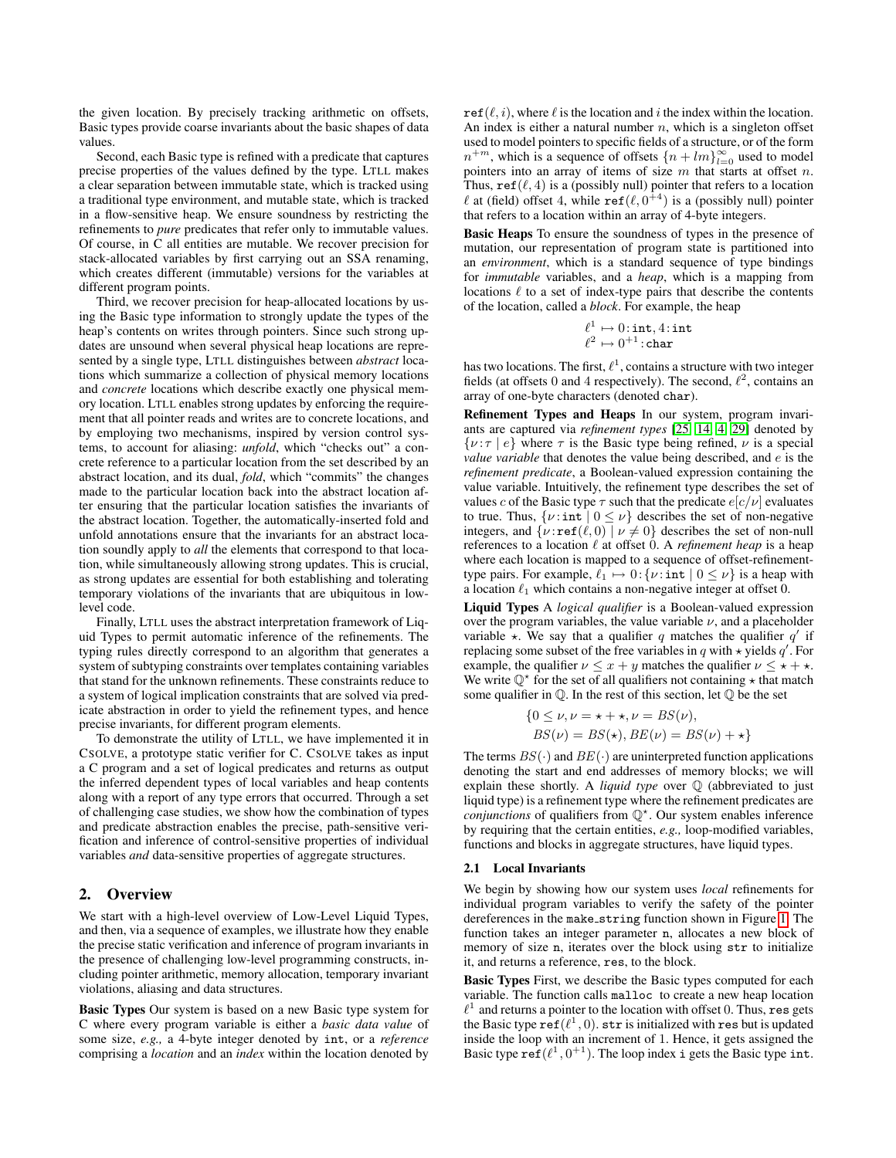the given location. By precisely tracking arithmetic on offsets, Basic types provide coarse invariants about the basic shapes of data values.

Second, each Basic type is refined with a predicate that captures precise properties of the values defined by the type. LTLL makes a clear separation between immutable state, which is tracked using a traditional type environment, and mutable state, which is tracked in a flow-sensitive heap. We ensure soundness by restricting the refinements to *pure* predicates that refer only to immutable values. Of course, in C all entities are mutable. We recover precision for stack-allocated variables by first carrying out an SSA renaming, which creates different (immutable) versions for the variables at different program points.

Third, we recover precision for heap-allocated locations by using the Basic type information to strongly update the types of the heap's contents on writes through pointers. Since such strong updates are unsound when several physical heap locations are represented by a single type, LTLL distinguishes between *abstract* locations which summarize a collection of physical memory locations and *concrete* locations which describe exactly one physical memory location. LTLL enables strong updates by enforcing the requirement that all pointer reads and writes are to concrete locations, and by employing two mechanisms, inspired by version control systems, to account for aliasing: *unfold*, which "checks out" a concrete reference to a particular location from the set described by an abstract location, and its dual, *fold*, which "commits" the changes made to the particular location back into the abstract location after ensuring that the particular location satisfies the invariants of the abstract location. Together, the automatically-inserted fold and unfold annotations ensure that the invariants for an abstract location soundly apply to *all* the elements that correspond to that location, while simultaneously allowing strong updates. This is crucial, as strong updates are essential for both establishing and tolerating temporary violations of the invariants that are ubiquitous in lowlevel code.

Finally, LTLL uses the abstract interpretation framework of Liquid Types to permit automatic inference of the refinements. The typing rules directly correspond to an algorithm that generates a system of subtyping constraints over templates containing variables that stand for the unknown refinements. These constraints reduce to a system of logical implication constraints that are solved via predicate abstraction in order to yield the refinement types, and hence precise invariants, for different program elements.

To demonstrate the utility of LTLL, we have implemented it in CSOLVE, a prototype static verifier for C. CSOLVE takes as input a C program and a set of logical predicates and returns as output the inferred dependent types of local variables and heap contents along with a report of any type errors that occurred. Through a set of challenging case studies, we show how the combination of types and predicate abstraction enables the precise, path-sensitive verification and inference of control-sensitive properties of individual variables *and* data-sensitive properties of aggregate structures.

## <span id="page-1-0"></span>2. Overview

We start with a high-level overview of Low-Level Liquid Types, and then, via a sequence of examples, we illustrate how they enable the precise static verification and inference of program invariants in the presence of challenging low-level programming constructs, including pointer arithmetic, memory allocation, temporary invariant violations, aliasing and data structures.

Basic Types Our system is based on a new Basic type system for C where every program variable is either a *basic data value* of some size, *e.g.,* a 4-byte integer denoted by int, or a *reference* comprising a *location* and an *index* within the location denoted by

ref( $\ell$ , *i*), where  $\ell$  is the location and *i* the index within the location. An index is either a natural number  $n$ , which is a singleton offset used to model pointers to specific fields of a structure, or of the form  $n^{+m}$ , which is a sequence of offsets  $\{n+lm\}_{l=0}^{\infty}$  used to model pointers into an array of items of size  $m$  that starts at offset  $n$ . Thus,  $\text{ref}(\ell, 4)$  is a (possibly null) pointer that refers to a location  $\ell$  at (field) offset 4, while  $\text{ref}(\ell, 0^{\bar{+}4})$  is a (possibly null) pointer that refers to a location within an array of 4-byte integers.

Basic Heaps To ensure the soundness of types in the presence of mutation, our representation of program state is partitioned into an *environment*, which is a standard sequence of type bindings for *immutable* variables, and a *heap*, which is a mapping from locations  $\ell$  to a set of index-type pairs that describe the contents of the location, called a *block*. For example, the heap

$$
\begin{array}{l} \ell^1 \mapsto 0 \colon \mathbf{int}, 4 \colon \mathbf{int} \\ \ell^2 \mapsto 0^{+1} \colon \mathbf{char} \end{array}
$$

has two locations. The first,  $\ell^1$ , contains a structure with two integer fields (at offsets 0 and 4 respectively). The second,  $\ell^2$ , contains an array of one-byte characters (denoted char).

Refinement Types and Heaps In our system, program invariants are captured via *refinement types* [\[25,](#page-12-8) [14,](#page-12-9) [4,](#page-12-10) [29\]](#page-12-6) denoted by  $\{v : \tau \mid e\}$  where  $\tau$  is the Basic type being refined,  $\nu$  is a special *value variable* that denotes the value being described, and e is the *refinement predicate*, a Boolean-valued expression containing the value variable. Intuitively, the refinement type describes the set of values c of the Basic type  $\tau$  such that the predicate  $e[c/\nu]$  evaluates to true. Thus,  $\{\nu : \text{int} \mid 0 \leq \nu\}$  describes the set of non-negative integers, and  $\{\nu : \text{ref}(\ell, 0) \mid \nu \neq 0\}$  describes the set of non-null references to a location  $\ell$  at offset 0. A *refinement heap* is a heap where each location is mapped to a sequence of offset-refinementtype pairs. For example,  $\ell_1 \mapsto 0$ : { $\nu$ : int  $| 0 \lt \nu$ } is a heap with a location  $\ell_1$  which contains a non-negative integer at offset 0.

Liquid Types A *logical qualifier* is a Boolean-valued expression over the program variables, the value variable  $\nu$ , and a placeholder variable  $\star$ . We say that a qualifier q matches the qualifier q' if replacing some subset of the free variables in q with  $\star$  yields q'. For example, the qualifier  $\nu \leq x + y$  matches the qualifier  $\nu \leq x + \star$ . We write  $\mathbb{Q}^*$  for the set of all qualifiers not containing  $\star$  that match some qualifier in  $\mathbb{O}$ . In the rest of this section, let  $\mathbb{O}$  be the set

$$
\{0 \le \nu, \nu = \star + \star, \nu = BS(\nu),
$$
  
 
$$
BS(\nu) = BS(\star), BE(\nu) = BS(\nu) + \star\}
$$

The terms  $BS(\cdot)$  and  $BE(\cdot)$  are uninterpreted function applications denoting the start and end addresses of memory blocks; we will explain these shortly. A *liquid type* over Q (abbreviated to just liquid type) is a refinement type where the refinement predicates are conjunctions of qualifiers from  $\mathbb{Q}^*$ . Our system enables inference by requiring that the certain entities, *e.g.,* loop-modified variables, functions and blocks in aggregate structures, have liquid types.

#### 2.1 Local Invariants

We begin by showing how our system uses *local* refinements for individual program variables to verify the safety of the pointer dereferences in the make string function shown in Figure [1.](#page-2-0) The function takes an integer parameter n, allocates a new block of memory of size n, iterates over the block using str to initialize it, and returns a reference, res, to the block.

Basic Types First, we describe the Basic types computed for each variable. The function calls malloc to create a new heap location  $\ell^1$  and returns a pointer to the location with offset 0. Thus, res gets the Basic type  $\texttt{ref}(\ell^1,0)$ . str is initialized with res but is updated inside the loop with an increment of 1. Hence, it gets assigned the Basic type  $\mathbf{ref}(\ell^1, 0^{+1})$ . The loop index i gets the Basic type int.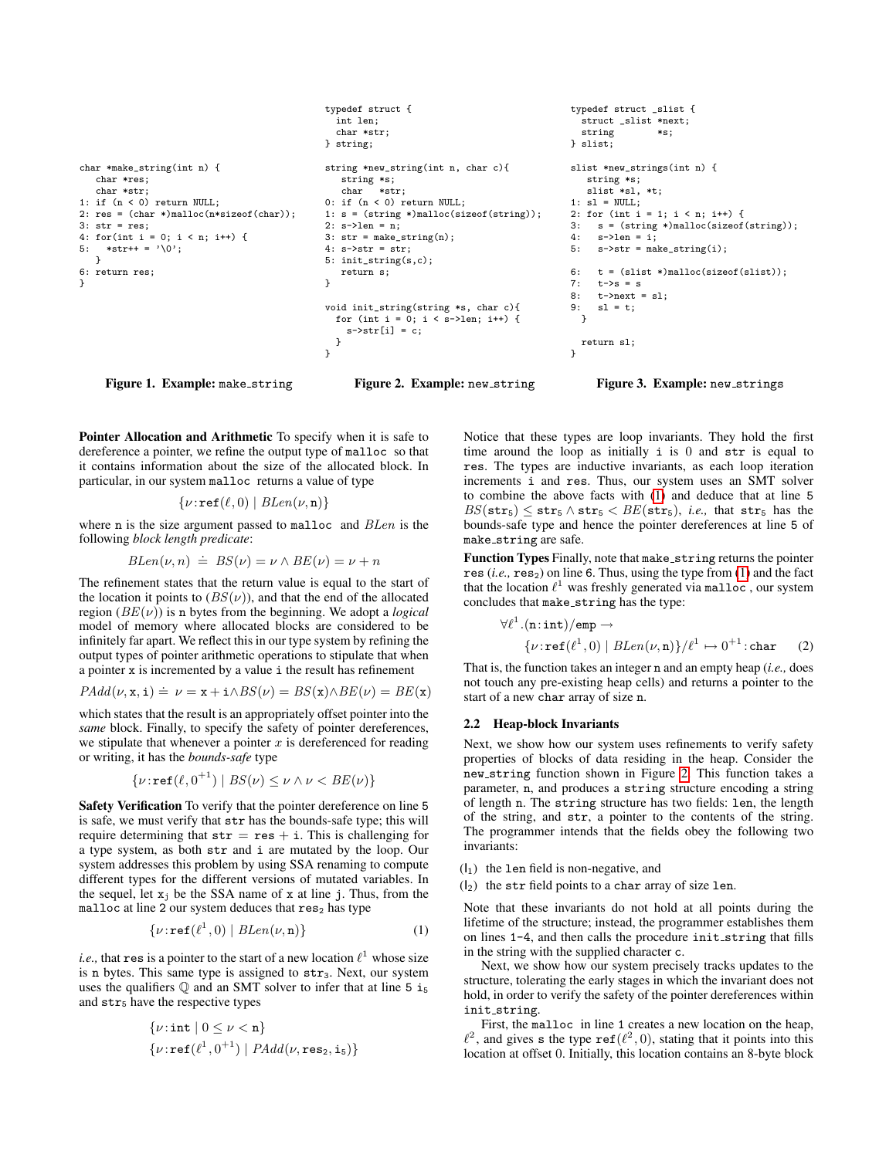```
char *make_string(int n) {
   char *res;
   char *str;
1: if (n < 0) return NULL;
2: res = (char *)malloc(n*sizeof(char));
3: str = res;
4: for(int i = 0; i < n; i++) {
5: *str++ = ?\0;
  }
6: return res;
}
                                                typedef struct {
                                                  int len;
                                                  char *str;
                                                } string;
                                                string *new_string(int n, char c){
                                                   string *s;
                                                   char *str;
                                                0: if (n < 0) return NULL;
                                                1: s = (string *)malloc(sizeof(string));
                                                2: s->len = n;
                                                3: str = make_string(n);4: s->str = str;
                                                5: init_string(s,c);
                                                   return s;
                                                }
                                                void init_string(string *s, char c){
                                                  for (int i = 0; i < s->len; i++) {
                                                    s->str[i] = c;
                                                  }
                                                }
                                                                                               typedef struct _slist {
                                                                                                  struct _slist *next;
                                                                                                  string *s;
                                                                                                } slist;
                                                                                                slist *new_strings(int n) {
                                                                                                   string *s;
                                                                                                   slist *sl, *t;
                                                                                                1: s1 = NULL:
                                                                                                2: for (int i = 1; i < n; i++) {
                                                                                                3: s = (string *) \text{malloc}(sizeof(string));<br>4: s = \text{alen} = i:
                                                                                                    s->len = i:
                                                                                                5: s->str = make_string(i);
                                                                                                6: t = (slist * )\text{malloc}(sizeof(slist));7: t->s = s<br>8: t->nextt-\text{short} = s9: s1 = t;
                                                                                                  }
                                                                                                  return sl;
                                                                                                }
```
<span id="page-2-0"></span>Figure 1. Example: make string

<span id="page-2-2"></span>Figure 2. Example: new string

<span id="page-2-4"></span>Figure 3. Example: new strings

Pointer Allocation and Arithmetic To specify when it is safe to dereference a pointer, we refine the output type of malloc so that it contains information about the size of the allocated block. In particular, in our system malloc returns a value of type

$$
\{\nu\!:\mathtt{ref}(\ell,0)\mid \mathit{BLen}(\nu,\mathtt{n})\}
$$

where n is the size argument passed to malloc and BLen is the following *block length predicate*:

$$
BLen(\nu, n) \doteq BS(\nu) = \nu \wedge BE(\nu) = \nu + n
$$

The refinement states that the return value is equal to the start of the location it points to  $(BS(\nu))$ , and that the end of the allocated region  $(BE(\nu))$  is n bytes from the beginning. We adopt a *logical* model of memory where allocated blocks are considered to be infinitely far apart. We reflect this in our type system by refining the output types of pointer arithmetic operations to stipulate that when a pointer x is incremented by a value i the result has refinement

$$
PAdd(\nu, \mathbf{x}, \mathbf{i}) \doteq \nu = \mathbf{x} + \mathbf{i} \wedge BS(\nu) = BS(\mathbf{x}) \wedge BE(\nu) = BE(\mathbf{x})
$$

which states that the result is an appropriately offset pointer into the *same* block. Finally, to specify the safety of pointer dereferences, we stipulate that whenever a pointer  $x$  is dereferenced for reading or writing, it has the *bounds-safe* type

$$
\{\nu:\text{ref}(\ell, 0^{+1}) \mid BS(\nu) \le \nu \land \nu < BE(\nu)\}
$$

Safety Verification To verify that the pointer dereference on line 5 is safe, we must verify that str has the bounds-safe type; this will require determining that  $str = res + i$ . This is challenging for a type system, as both str and i are mutated by the loop. Our system addresses this problem by using SSA renaming to compute different types for the different versions of mutated variables. In the sequel, let  $x_j$  be the SSA name of x at line j. Thus, from the malloc at line 2 our system deduces that  $res<sub>2</sub>$  has type

$$
\{\nu : \text{ref}(\ell^1, 0) \mid BLen(\nu, \mathbf{n})\}\tag{1}
$$

*i.e.*, that res is a pointer to the start of a new location  $l^1$  whose size is n bytes. This same type is assigned to  $str<sub>3</sub>$ . Next, our system uses the qualifiers  $\mathbb Q$  and an SMT solver to infer that at line 5  $i_5$ and  $str<sub>5</sub>$  have the respective types

$$
\{\nu : \text{int} \mid 0 \le \nu < \mathbf{n}\}
$$
\n
$$
\{\nu : \text{ref}(\ell^1, 0^{+1}) \mid \text{PAdd}(\nu, \text{res}_2, \mathbf{i}_5)\}
$$

Notice that these types are loop invariants. They hold the first time around the loop as initially i is 0 and str is equal to res. The types are inductive invariants, as each loop iteration increments i and res. Thus, our system uses an SMT solver to combine the above facts with [\(1\)](#page-2-1) and deduce that at line 5  $BS(\text{str}_5) \leq \text{str}_5 \wedge \text{str}_5 \leq BE(\text{str}_5),$  *i.e.*, that  $\text{str}_5$  has the bounds-safe type and hence the pointer dereferences at line 5 of make string are safe.

Function Types Finally, note that make string returns the pointer res  $(i.e., res<sub>2</sub>)$  on line 6. Thus, using the type from  $(1)$  and the fact that the location  $\ell^1$  was freshly generated via malloc, our system concludes that make string has the type:

<span id="page-2-3"></span>
$$
\forall \ell^{1}.(\texttt{n:int})/\texttt{emp} \rightarrow
$$
  

$$
\{\nu:\texttt{ref}(\ell^{1},0) \mid BLen(\nu,\texttt{n})\}/\ell^{1} \mapsto 0^{+1}:\texttt{char} \qquad (2)
$$

That is, the function takes an integer n and an empty heap (*i.e.,* does not touch any pre-existing heap cells) and returns a pointer to the start of a new char array of size n.

## 2.2 Heap-block Invariants

Next, we show how our system uses refinements to verify safety properties of blocks of data residing in the heap. Consider the new string function shown in Figure [2.](#page-2-2) This function takes a parameter, n, and produces a string structure encoding a string of length n. The string structure has two fields: len, the length of the string, and str, a pointer to the contents of the string. The programmer intends that the fields obey the following two invariants:

- $(l_1)$  the len field is non-negative, and
- $(l_2)$  the str field points to a char array of size len.

<span id="page-2-1"></span>Note that these invariants do not hold at all points during the lifetime of the structure; instead, the programmer establishes them on lines 1-4, and then calls the procedure init string that fills in the string with the supplied character c.

Next, we show how our system precisely tracks updates to the structure, tolerating the early stages in which the invariant does not hold, in order to verify the safety of the pointer dereferences within init\_string.

First, the malloc in line 1 creates a new location on the heap,  $\ell^2$ , and gives s the type ref( $\ell^2$ , 0), stating that it points into this location at offset 0. Initially, this location contains an 8-byte block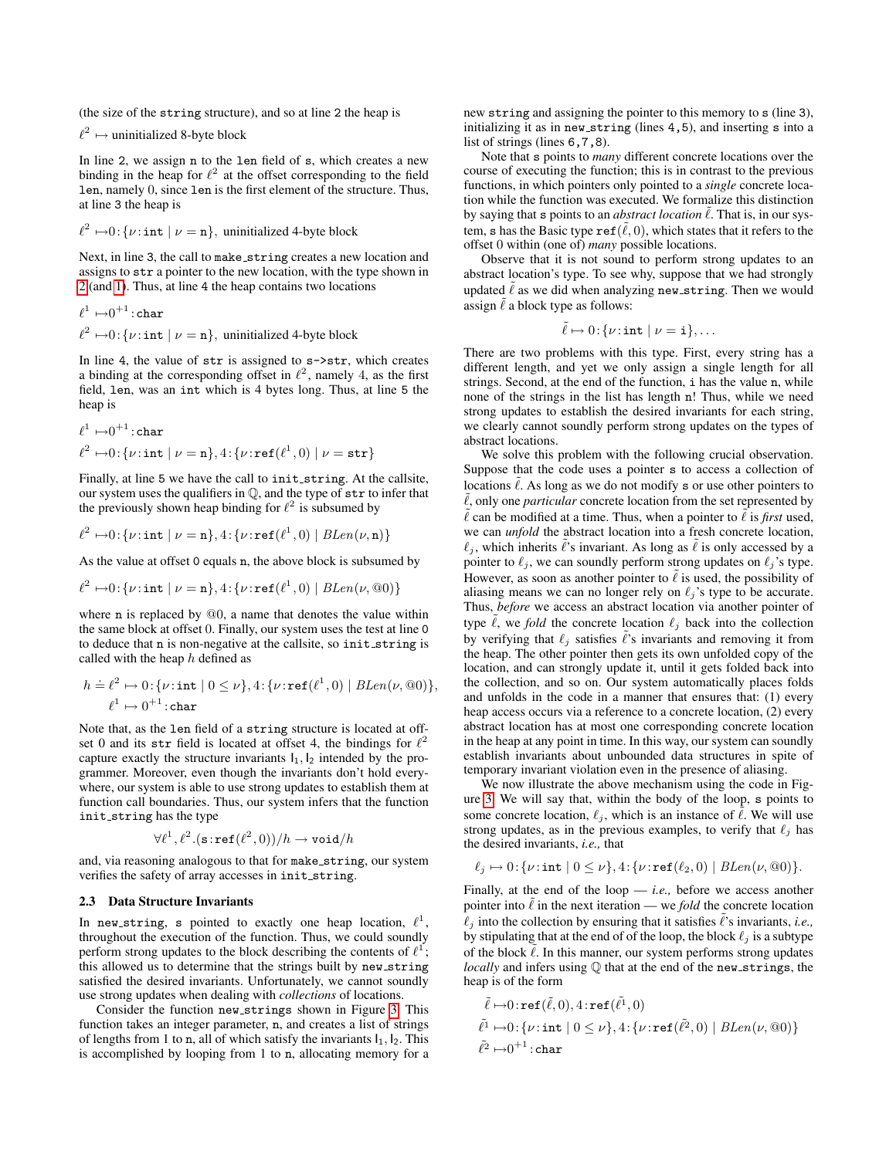(the size of the string structure), and so at line 2 the heap is

$$
\ell^2 \mapsto
$$
uninitialized 8-byte block

In line 2, we assign n to the len field of s, which creates a new binding in the heap for  $\ell^2$  at the offset corresponding to the field len, namely 0, since len is the first element of the structure. Thus, at line 3 the heap is

$$
\ell^2 \mapsto 0: \{\nu : \text{int} \mid \nu = \text{n}\}, \text{uninitialized 4-byte block}
$$

Next, in line 3, the call to make string creates a new location and assigns to str a pointer to the new location, with the type shown in [2](#page-2-3) (and [1\)](#page-2-1). Thus, at line 4 the heap contains two locations

$$
\ell^1 \mapsto 0^{+1} : \text{char}
$$
  

$$
\ell^2 \mapsto 0 : \{ \nu : \text{int } | \nu = n \}, \text{uninitialized 4-byte block}
$$

In line 4, the value of str is assigned to s->str, which creates a binding at the corresponding offset in  $\ell^2$ , namely 4, as the first field, len, was an int which is 4 bytes long. Thus, at line 5 the heap is

$$
\ell^1 \mapsto 0^{+1} : \text{char}
$$
  

$$
\ell^2 \mapsto 0 : \{ \nu : \text{int} \mid \nu = \mathbf{n} \}, 4 : \{ \nu : \text{ref}(\ell^1, 0) \mid \nu = \text{str} \}
$$

Finally, at line 5 we have the call to init\_string. At the callsite, our system uses the qualifiers in  $\mathbb{Q}$ , and the type of  $str$  to infer that the previously shown heap binding for  $\ell^2$  is subsumed by

$$
\ell^2 \mapsto 0: \{\nu : \text{int} \mid \nu = \mathbf{n}\}, 4: \{\nu : \text{ref}(\ell^1, 0) \mid \text{BLen}(\nu, \mathbf{n})\}
$$

As the value at offset 0 equals n, the above block is subsumed by

$$
\ell^2 \mapsto 0: \{\nu : \mathtt{int} \mid \nu = \mathtt{n}\}, 4: \{\nu : \mathtt{ref}(\ell^1, 0) \mid \mathit{BLen}(\nu, @0)\}
$$

where n is replaced by  $@0$ , a name that denotes the value within the same block at offset 0. Finally, our system uses the test at line 0 to deduce that n is non-negative at the callsite, so init\_string is called with the heap  $h$  defined as

$$
h \doteq \ell^2 \mapsto 0: \{\nu : \text{int} \mid 0 \leq \nu\}, 4: \{\nu : \text{ref}(\ell^1, 0) \mid \text{BLen}(\nu, @0)\},\
$$

$$
\ell^1 \mapsto 0^{+1} : \text{char}
$$

Note that, as the len field of a string structure is located at offset 0 and its str field is located at offset 4, the bindings for  $\ell^2$ capture exactly the structure invariants  $I_1$ ,  $I_2$  intended by the programmer. Moreover, even though the invariants don't hold everywhere, our system is able to use strong updates to establish them at function call boundaries. Thus, our system infers that the function init string has the type

$$
\forall \ell^1, \ell^2.({\tt s:ref}(\ell^2,0))/h \to \mathtt{void}/h
$$

and, via reasoning analogous to that for make string, our system verifies the safety of array accesses in init\_string.

#### 2.3 Data Structure Invariants

In new string, s pointed to exactly one heap location,  $\ell^1$ , throughout the execution of the function. Thus, we could soundly perform strong updates to the block describing the contents of  $\ell^1$ ; this allowed us to determine that the strings built by new string satisfied the desired invariants. Unfortunately, we cannot soundly use strong updates when dealing with *collections* of locations.

Consider the function new strings shown in Figure [3.](#page-2-4) This function takes an integer parameter, n, and creates a list of strings of lengths from 1 to n, all of which satisfy the invariants  $I_1$ ,  $I_2$ . This is accomplished by looping from 1 to n, allocating memory for a new string and assigning the pointer to this memory to s (line 3), initializing it as in new string (lines 4,5), and inserting s into a list of strings (lines 6,7,8).

Note that s points to *many* different concrete locations over the course of executing the function; this is in contrast to the previous functions, in which pointers only pointed to a *single* concrete location while the function was executed. We formalize this distinction by saying that s points to an *abstract location*  $\ell$ . That is, in our system, s has the Basic type ref( $\tilde{\ell}$ , 0), which states that it refers to the offset 0 within (one of) *many* possible locations.

Observe that it is not sound to perform strong updates to an abstract location's type. To see why, suppose that we had strongly updated  $\ell$  as we did when analyzing new string. Then we would assign  $\tilde{\ell}$  a block type as follows:

$$
\tilde{\ell} \mapsto 0 \colon \{ \nu : \text{int} \mid \nu = \mathtt{i} \}, \dots
$$

There are two problems with this type. First, every string has a different length, and yet we only assign a single length for all strings. Second, at the end of the function, i has the value n, while none of the strings in the list has length n! Thus, while we need strong updates to establish the desired invariants for each string, we clearly cannot soundly perform strong updates on the types of abstract locations.

We solve this problem with the following crucial observation. Suppose that the code uses a pointer s to access a collection of locations  $\ell$ . As long as we do not modify s or use other pointers to  $\ell$ , only one *particular* concrete location from the set represented by  $\ell$  can be modified at a time. Thus, when a pointer to  $\ell$  is *first* used, we can *unfold* the abstract location into a fresh concrete location,  $\ell_j$ , which inherits  $\ell$ 's invariant. As long as  $\ell$  is only accessed by a pointer to  $\ell_j$ , we can soundly perform strong updates on  $\ell_j$ 's type. However, as soon as another pointer to  $\ell$  is used, the possibility of aliasing means we can no longer rely on  $\ell_i$ 's type to be accurate. Thus, *before* we access an abstract location via another pointer of type  $\ell$ , we *fold* the concrete location  $\ell_j$  back into the collection by verifying that  $\ell_j$  satisfies  $\ell$ 's invariants and removing it from the heap. The other pointer then gets its own unfolded copy of the location, and can strongly update it, until it gets folded back into the collection, and so on. Our system automatically places folds and unfolds in the code in a manner that ensures that: (1) every heap access occurs via a reference to a concrete location, (2) every abstract location has at most one corresponding concrete location in the heap at any point in time. In this way, our system can soundly establish invariants about unbounded data structures in spite of temporary invariant violation even in the presence of aliasing.

We now illustrate the above mechanism using the code in Figure [3.](#page-2-4) We will say that, within the body of the loop, s points to some concrete location,  $\ell_i$ , which is an instance of  $\ell$ . We will use strong updates, as in the previous examples, to verify that  $\ell_i$  has the desired invariants, *i.e.,* that

$$
\ell_j \mapsto 0: \{\nu : \text{int} \mid 0 \leq \nu\}, 4: \{\nu : \text{ref}(\ell_2, 0) \mid BLen(\nu, \textcircled{00})\}.
$$

Finally, at the end of the loop — *i.e.,* before we access another pointer into  $\ell$  in the next iteration — we *fold* the concrete location  $\ell_i$  into the collection by ensuring that it satisfies  $\ell$ 's invariants, *i.e.*, by stipulating that at the end of of the loop, the block  $\ell_j$  is a subtype of the block  $\ell$ . In this manner, our system performs strong updates *locally* and infers using  $Q$  that at the end of the new strings, the heap is of the form

$$
\tilde{\ell} \mapsto 0 : \text{ref}(\tilde{\ell}, 0), 4 : \text{ref}(\tilde{\ell}^1, 0)
$$
  

$$
\tilde{\ell}^1 \mapsto 0 : \{ \nu : \text{int} \mid 0 \le \nu \}, 4 : \{ \nu : \text{ref}(\tilde{\ell}^2, 0) \mid \text{BLen}(\nu, @0) \}
$$
  

$$
\tilde{\ell}^2 \mapsto 0^{+1} : \text{char}
$$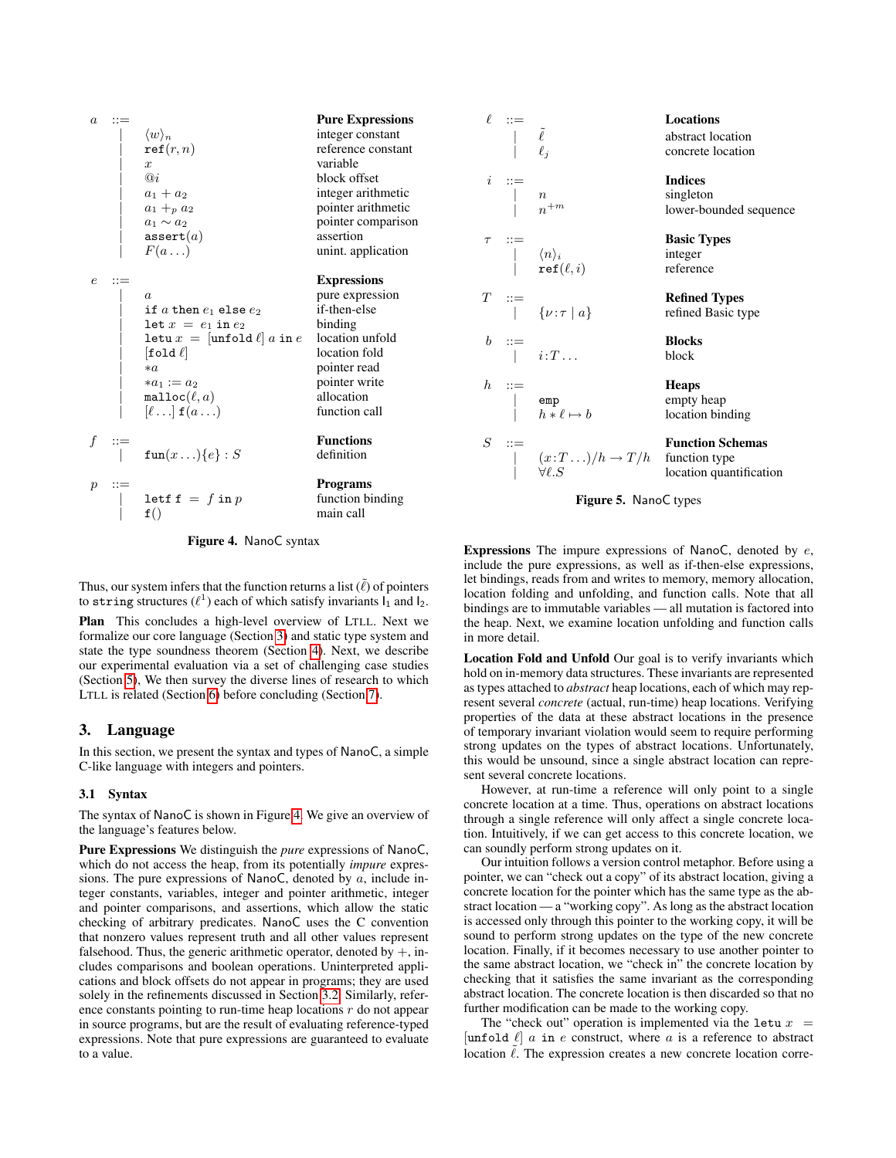

<span id="page-4-1"></span>Figure 4. NanoC syntax

Thus, our system infers that the function returns a list  $(\tilde{\ell})$  of pointers to string structures  $(\ell^1)$  each of which satisfy invariants  $I_1$  and  $I_2$ .

Plan This concludes a high-level overview of LTLL. Next we formalize our core language (Section [3\)](#page-4-0) and static type system and state the type soundness theorem (Section [4\)](#page-5-0). Next, we describe our experimental evaluation via a set of challenging case studies (Section [5\)](#page-10-0), We then survey the diverse lines of research to which LTLL is related (Section [6\)](#page-11-0) before concluding (Section [7\)](#page-12-11).

## <span id="page-4-0"></span>3. Language

In this section, we present the syntax and types of NanoC, a simple C-like language with integers and pointers.

#### 3.1 Syntax

The syntax of NanoC is shown in Figure [4.](#page-4-1) We give an overview of the language's features below.

Pure Expressions We distinguish the *pure* expressions of NanoC, which do not access the heap, from its potentially *impure* expressions. The pure expressions of NanoC, denoted by  $a$ , include integer constants, variables, integer and pointer arithmetic, integer and pointer comparisons, and assertions, which allow the static checking of arbitrary predicates. NanoC uses the C convention that nonzero values represent truth and all other values represent falsehood. Thus, the generic arithmetic operator, denoted by  $+$ , includes comparisons and boolean operations. Uninterpreted applications and block offsets do not appear in programs; they are used solely in the refinements discussed in Section [3.2.](#page-5-1) Similarly, reference constants pointing to run-time heap locations  $r$  do not appear in source programs, but are the result of evaluating reference-typed expressions. Note that pure expressions are guaranteed to evaluate to a value.



<span id="page-4-2"></span>Figure 5. NanoC types

Expressions The impure expressions of NanoC, denoted by e, include the pure expressions, as well as if-then-else expressions, let bindings, reads from and writes to memory, memory allocation, location folding and unfolding, and function calls. Note that all bindings are to immutable variables — all mutation is factored into the heap. Next, we examine location unfolding and function calls in more detail.

Location Fold and Unfold Our goal is to verify invariants which hold on in-memory data structures. These invariants are represented as types attached to *abstract* heap locations, each of which may represent several *concrete* (actual, run-time) heap locations. Verifying properties of the data at these abstract locations in the presence of temporary invariant violation would seem to require performing strong updates on the types of abstract locations. Unfortunately, this would be unsound, since a single abstract location can represent several concrete locations.

However, at run-time a reference will only point to a single concrete location at a time. Thus, operations on abstract locations through a single reference will only affect a single concrete location. Intuitively, if we can get access to this concrete location, we can soundly perform strong updates on it.

Our intuition follows a version control metaphor. Before using a pointer, we can "check out a copy" of its abstract location, giving a concrete location for the pointer which has the same type as the abstract location — a "working copy". As long as the abstract location is accessed only through this pointer to the working copy, it will be sound to perform strong updates on the type of the new concrete location. Finally, if it becomes necessary to use another pointer to the same abstract location, we "check in" the concrete location by checking that it satisfies the same invariant as the corresponding abstract location. The concrete location is then discarded so that no further modification can be made to the working copy.

The "check out" operation is implemented via the letu  $x =$ [unfold  $\ell$ ] a in e construct, where a is a reference to abstract location  $\ell$ . The expression creates a new concrete location corre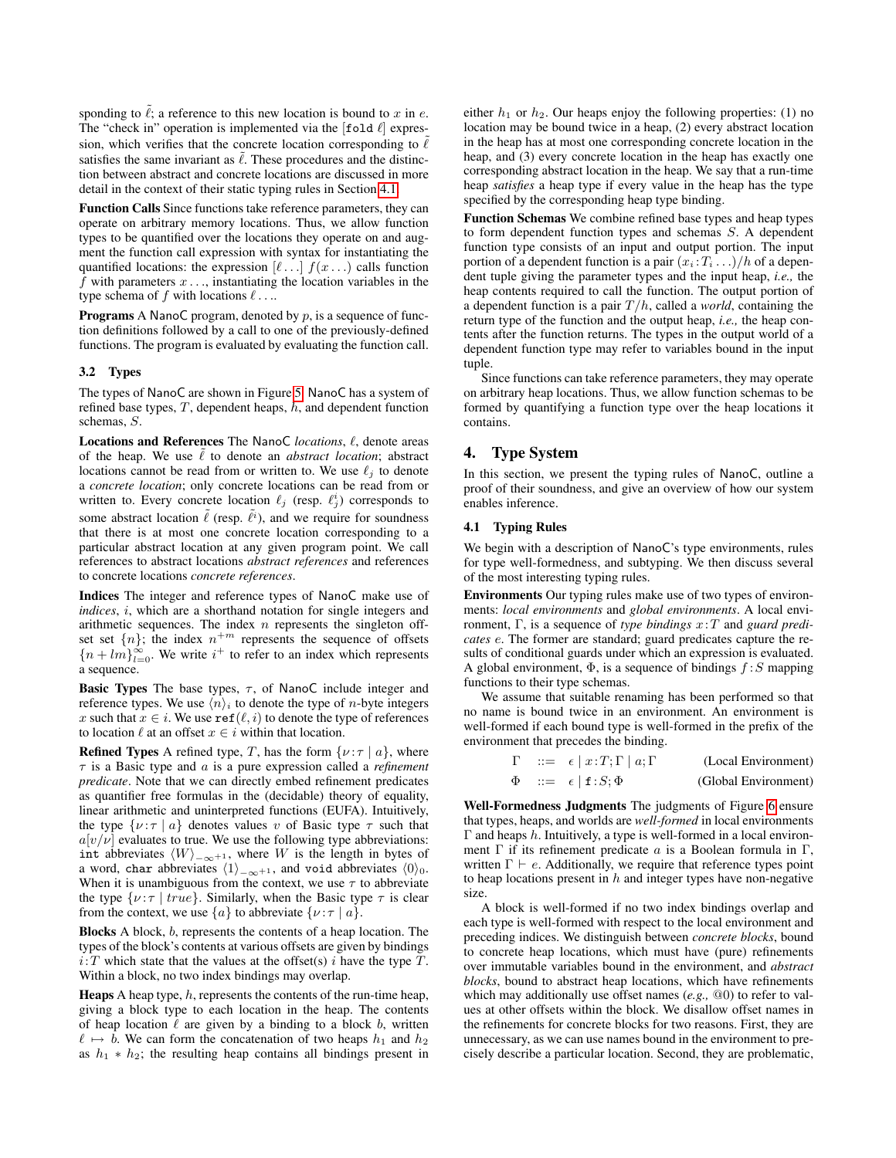sponding to  $\ell$ ; a reference to this new location is bound to x in e. The "check in" operation is implemented via the  $\lceil \text{fold } \ell \rceil$  expression, which verifies that the concrete location corresponding to  $\tilde{\ell}$ satisfies the same invariant as  $\tilde{\ell}$ . These procedures and the distinction between abstract and concrete locations are discussed in more detail in the context of their static typing rules in Section [4.1.](#page-5-2)

Function Calls Since functions take reference parameters, they can operate on arbitrary memory locations. Thus, we allow function types to be quantified over the locations they operate on and augment the function call expression with syntax for instantiating the quantified locations: the expression  $[\ell \dots] f(x \dots)$  calls function  $f$  with parameters  $x \dots$ , instantiating the location variables in the type schema of f with locations  $\ell$ ...

**Programs** A NanoC program, denoted by  $p$ , is a sequence of function definitions followed by a call to one of the previously-defined functions. The program is evaluated by evaluating the function call.

#### <span id="page-5-1"></span>3.2 Types

The types of NanoC are shown in Figure [5.](#page-4-2) NanoC has a system of refined base types,  $T$ , dependent heaps,  $h$ , and dependent function schemas, S.

Locations and References The NanoC locations,  $\ell$ , denote areas of the heap. We use  $\tilde{\ell}$  to denote an *abstract location*; abstract locations cannot be read from or written to. We use  $\ell_i$  to denote a *concrete location*; only concrete locations can be read from or written to. Every concrete location  $\ell_j$  (resp.  $\ell_j^i$ ) corresponds to some abstract location  $\tilde{\ell}$  (resp.  $\tilde{\ell}^i$ ), and we require for soundness that there is at most one concrete location corresponding to a particular abstract location at any given program point. We call references to abstract locations *abstract references* and references to concrete locations *concrete references*.

Indices The integer and reference types of NanoC make use of *indices*, *i*, which are a shorthand notation for single integers and arithmetic sequences. The index  $n$  represents the singleton offset set  $\{n\}$ ; the index  $n^{+m}$  represents the sequence of offsets  ${n + lm}_{l=0}^{\infty}$ . We write  $i^{+}$  to refer to an index which represents a sequence.

Basic Types The base types,  $\tau$ , of NanoC include integer and reference types. We use  $\langle n \rangle_i$  to denote the type of *n*-byte integers x such that  $x \in i$ . We use  $\text{ref}(\ell, i)$  to denote the type of references to location  $\ell$  at an offset  $x \in i$  within that location.

**Refined Types** A refined type, T, has the form  $\{v : \tau \mid a\}$ , where  $\tau$  is a Basic type and  $\alpha$  is a pure expression called a *refinement predicate*. Note that we can directly embed refinement predicates as quantifier free formulas in the (decidable) theory of equality, linear arithmetic and uninterpreted functions (EUFA). Intuitively, the type  $\{v : \tau \mid a\}$  denotes values v of Basic type  $\tau$  such that  $a|v/\nu|$  evaluates to true. We use the following type abbreviations: int abbreviates  $\langle W \rangle_{-\infty+1}$ , where W is the length in bytes of a word, char abbreviates  $\langle 1 \rangle_{-\infty+1}$ , and void abbreviates  $\langle 0 \rangle_0$ . When it is unambiguous from the context, we use  $\tau$  to abbreviate the type  $\{v : \tau \mid true\}$ . Similarly, when the Basic type  $\tau$  is clear from the context, we use  $\{a\}$  to abbreviate  $\{\nu : \tau \mid a\}.$ 

Blocks A block, b, represents the contents of a heap location. The types of the block's contents at various offsets are given by bindings  $i:T$  which state that the values at the offset(s) i have the type T. Within a block, no two index bindings may overlap.

**Heaps** A heap type,  $h$ , represents the contents of the run-time heap, giving a block type to each location in the heap. The contents of heap location  $\ell$  are given by a binding to a block b, written  $\ell \mapsto b$ . We can form the concatenation of two heaps  $h_1$  and  $h_2$ as  $h_1 * h_2$ ; the resulting heap contains all bindings present in either  $h_1$  or  $h_2$ . Our heaps enjoy the following properties: (1) no location may be bound twice in a heap, (2) every abstract location in the heap has at most one corresponding concrete location in the heap, and (3) every concrete location in the heap has exactly one corresponding abstract location in the heap. We say that a run-time heap *satisfies* a heap type if every value in the heap has the type specified by the corresponding heap type binding.

Function Schemas We combine refined base types and heap types to form dependent function types and schemas S. A dependent function type consists of an input and output portion. The input portion of a dependent function is a pair  $(x_i : T_i ...)/h$  of a dependent tuple giving the parameter types and the input heap, *i.e.,* the heap contents required to call the function. The output portion of a dependent function is a pair  $T/h$ , called a *world*, containing the return type of the function and the output heap, *i.e.,* the heap contents after the function returns. The types in the output world of a dependent function type may refer to variables bound in the input tuple.

Since functions can take reference parameters, they may operate on arbitrary heap locations. Thus, we allow function schemas to be formed by quantifying a function type over the heap locations it contains.

# <span id="page-5-0"></span>4. Type System

In this section, we present the typing rules of NanoC, outline a proof of their soundness, and give an overview of how our system enables inference.

## <span id="page-5-2"></span>4.1 Typing Rules

We begin with a description of NanoC's type environments, rules for type well-formedness, and subtyping. We then discuss several of the most interesting typing rules.

Environments Our typing rules make use of two types of environments: *local environments* and *global environments*. A local environment, Γ, is a sequence of *type bindings* x:T and *guard predicates* e. The former are standard; guard predicates capture the results of conditional guards under which an expression is evaluated. A global environment,  $\Phi$ , is a sequence of bindings  $f : S$  mapping functions to their type schemas.

We assume that suitable renaming has been performed so that no name is bound twice in an environment. An environment is well-formed if each bound type is well-formed in the prefix of the environment that precedes the binding.

|  | $\Gamma$ ::= $\epsilon   x : T; \Gamma   a; \Gamma$ | (Local Environment)  |
|--|-----------------------------------------------------|----------------------|
|  | $\Phi$ ::= $\epsilon   \mathbf{f}: S; \Phi$         | (Global Environment) |

Well-Formedness Judgments The judgments of Figure [6](#page-6-0) ensure that types, heaps, and worlds are *well-formed* in local environments  $\Gamma$  and heaps h. Intuitively, a type is well-formed in a local environment  $\Gamma$  if its refinement predicate a is a Boolean formula in  $\Gamma$ , written  $\Gamma \vdash e$ . Additionally, we require that reference types point to heap locations present in  $h$  and integer types have non-negative size.

A block is well-formed if no two index bindings overlap and each type is well-formed with respect to the local environment and preceding indices. We distinguish between *concrete blocks*, bound to concrete heap locations, which must have (pure) refinements over immutable variables bound in the environment, and *abstract blocks*, bound to abstract heap locations, which have refinements which may additionally use offset names (e.g.,  $@0$ ) to refer to values at other offsets within the block. We disallow offset names in the refinements for concrete blocks for two reasons. First, they are unnecessary, as we can use names bound in the environment to precisely describe a particular location. Second, they are problematic,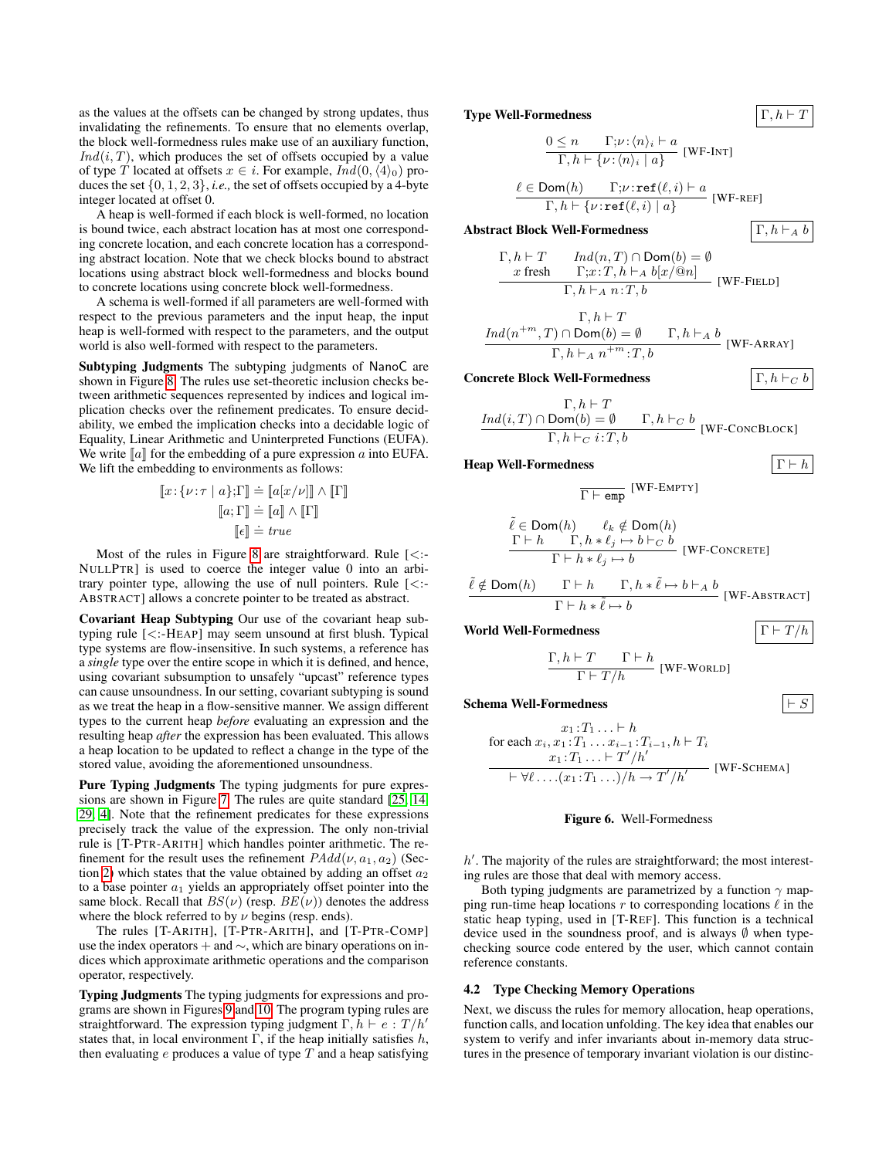as the values at the offsets can be changed by strong updates, thus invalidating the refinements. To ensure that no elements overlap, the block well-formedness rules make use of an auxiliary function,  $Ind(i, T)$ , which produces the set of offsets occupied by a value of type T located at offsets  $x \in i$ . For example,  $Ind(0, \langle 4 \rangle_0)$  produces the set  $\{0, 1, 2, 3\}$ , *i.e.*, the set of offsets occupied by a 4-byte integer located at offset 0.

A heap is well-formed if each block is well-formed, no location is bound twice, each abstract location has at most one corresponding concrete location, and each concrete location has a corresponding abstract location. Note that we check blocks bound to abstract locations using abstract block well-formedness and blocks bound to concrete locations using concrete block well-formedness.

A schema is well-formed if all parameters are well-formed with respect to the previous parameters and the input heap, the input heap is well-formed with respect to the parameters, and the output world is also well-formed with respect to the parameters.

Subtyping Judgments The subtyping judgments of NanoC are shown in Figure [8.](#page-7-0) The rules use set-theoretic inclusion checks between arithmetic sequences represented by indices and logical implication checks over the refinement predicates. To ensure decidability, we embed the implication checks into a decidable logic of Equality, Linear Arithmetic and Uninterpreted Functions (EUFA). We write  $\|a\|$  for the embedding of a pure expression a into EUFA. We lift the embedding to environments as follows:

$$
\llbracket x \colon \{ \nu \colon \tau \mid a \} ; \Gamma \rrbracket \doteq \llbracket a[x/\nu] \rrbracket \land \llbracket \Gamma \rrbracket
$$

$$
\llbracket a ; \Gamma \rrbracket \doteq \llbracket a \rrbracket \land \llbracket \Gamma \rrbracket
$$

$$
\llbracket \epsilon \rrbracket \doteq true
$$

Most of the rules in Figure [8](#page-7-0) are straightforward. Rule [<:- NULLPTR] is used to coerce the integer value 0 into an arbitrary pointer type, allowing the use of null pointers. Rule [<:- ABSTRACT] allows a concrete pointer to be treated as abstract.

Covariant Heap Subtyping Our use of the covariant heap subtyping rule [<:-HEAP] may seem unsound at first blush. Typical type systems are flow-insensitive. In such systems, a reference has a *single* type over the entire scope in which it is defined, and hence, using covariant subsumption to unsafely "upcast" reference types can cause unsoundness. In our setting, covariant subtyping is sound as we treat the heap in a flow-sensitive manner. We assign different types to the current heap *before* evaluating an expression and the resulting heap *after* the expression has been evaluated. This allows a heap location to be updated to reflect a change in the type of the stored value, avoiding the aforementioned unsoundness.

Pure Typing Judgments The typing judgments for pure expressions are shown in Figure [7.](#page-7-1) The rules are quite standard [\[25,](#page-12-8) [14,](#page-12-9) [29,](#page-12-6) [4\]](#page-12-10). Note that the refinement predicates for these expressions precisely track the value of the expression. The only non-trivial rule is [T-PTR-ARITH] which handles pointer arithmetic. The refinement for the result uses the refinement  $PAdd(\nu, a_1, a_2)$  (Sec-tion [2\)](#page-1-0) which states that the value obtained by adding an offset  $a_2$ to a base pointer  $a_1$  yields an appropriately offset pointer into the same block. Recall that  $BS(\nu)$  (resp.  $BE(\nu)$ ) denotes the address where the block referred to by  $\nu$  begins (resp. ends).

The rules [T-ARITH], [T-PTR-ARITH], and [T-PTR-COMP] use the index operators + and  $\sim$ , which are binary operations on indices which approximate arithmetic operations and the comparison operator, respectively.

Typing Judgments The typing judgments for expressions and programs are shown in Figures [9](#page-9-0) and [10.](#page-9-1) The program typing rules are straightforward. The expression typing judgment  $\Gamma, h \vdash e : T/h'$ states that, in local environment  $\Gamma$ , if the heap initially satisfies h, then evaluating  $e$  produces a value of type  $T$  and a heap satisfying **Type Well-Formedness**  $\Gamma, h \vdash T$ 

$$
\frac{0 \le n \qquad \Gamma; \nu : \langle n \rangle_i \vdash a}{\Gamma, h \vdash \{\nu : \langle n \rangle_i \mid a\}} \text{ [WF-INT]}
$$

$$
\frac{\ell \in \text{Dom}(h) \qquad \Gamma; \nu : \text{ref}(\ell, i) \vdash a}{\Gamma, h \vdash \{\nu : \text{ref}(\ell, i) \mid a\}} \text{ [WF-REF]}
$$

Abstract Block Well-Formedness  $\Gamma, h \vdash_A b$ 

$$
\Gamma, h \vdash T \qquad Ind(n, T) \cap \text{Dom}(b) = \emptyset
$$
\n
$$
x \text{ fresh} \qquad \Gamma; x: T, h \vdash_A b[x/\textcircled{2}n]
$$
\n
$$
\Gamma, h \vdash_A n: T, b
$$
\n[WF-FileLD]

$$
\frac{\Gamma, h \vdash T}{\Gamma, h \vdash_A n^{+m} : T, b} \text{[WF-ARRary]}
$$

Concrete Block Well-Formedness  $|\Gamma, h \vdash_C b$ 

$$
\Gamma, h \vdash T
$$
  

$$
T) \cap \text{Dom}(b) = \emptyset \qquad \Gamma, h \vdash_C b
$$
  

$$
\Gamma, h \vdash_G i : T, b
$$
 [WF-ConcBlock]

**Heap Well-Formedness**  $\Gamma \vdash h$ 

 $Ind(i, z)$ 

$$
\overline{\Gamma \vdash \texttt{emp}} \; [\texttt{WF-EMPTY}]
$$

$$
\frac{\tilde{\ell} \in \text{Dom}(h) \qquad \ell_k \notin \text{Dom}(h)}{\Gamma \vdash h \quad \Gamma, h * \ell_j \mapsto b \vdash_C b} \text{ [WF-CONCRETE]}
$$

$$
\frac{\tilde{\ell} \notin \text{Dom}(h)}{\Gamma \vdash h * \tilde{\ell} \mapsto b} \quad \text{[WF-ABSTRACT]}
$$

World Well-Formedness  $\Gamma \vdash T/h$ 

$$
\frac{\Gamma, h \vdash T \qquad \Gamma \vdash h}{\Gamma \vdash T/h}
$$
 [WF-World]

Schema Well-Formedness  $\models S$ 

$$
\text{for each } x_i, x_1: T_1 \dots \vdash h
$$
\n
$$
\text{for each } x_i, x_1: T_1 \dots x_{i-1}: T_{i-1}, h \vdash T_i
$$
\n
$$
x_1: T_1 \dots \vdash T'/h'
$$
\n
$$
\text{[WF-SCHEMA]}
$$

#### <span id="page-6-0"></span>Figure 6. Well-Formedness

 $h'$ . The majority of the rules are straightforward; the most interesting rules are those that deal with memory access.

Both typing judgments are parametrized by a function  $\gamma$  mapping run-time heap locations  $r$  to corresponding locations  $\ell$  in the static heap typing, used in [T-REF]. This function is a technical device used in the soundness proof, and is always  $\emptyset$  when typechecking source code entered by the user, which cannot contain reference constants.

# 4.2 Type Checking Memory Operations

Next, we discuss the rules for memory allocation, heap operations, function calls, and location unfolding. The key idea that enables our system to verify and infer invariants about in-memory data structures in the presence of temporary invariant violation is our distinc-

$$
\mathbf{L} = \mathbf{L} \mathbf{L}
$$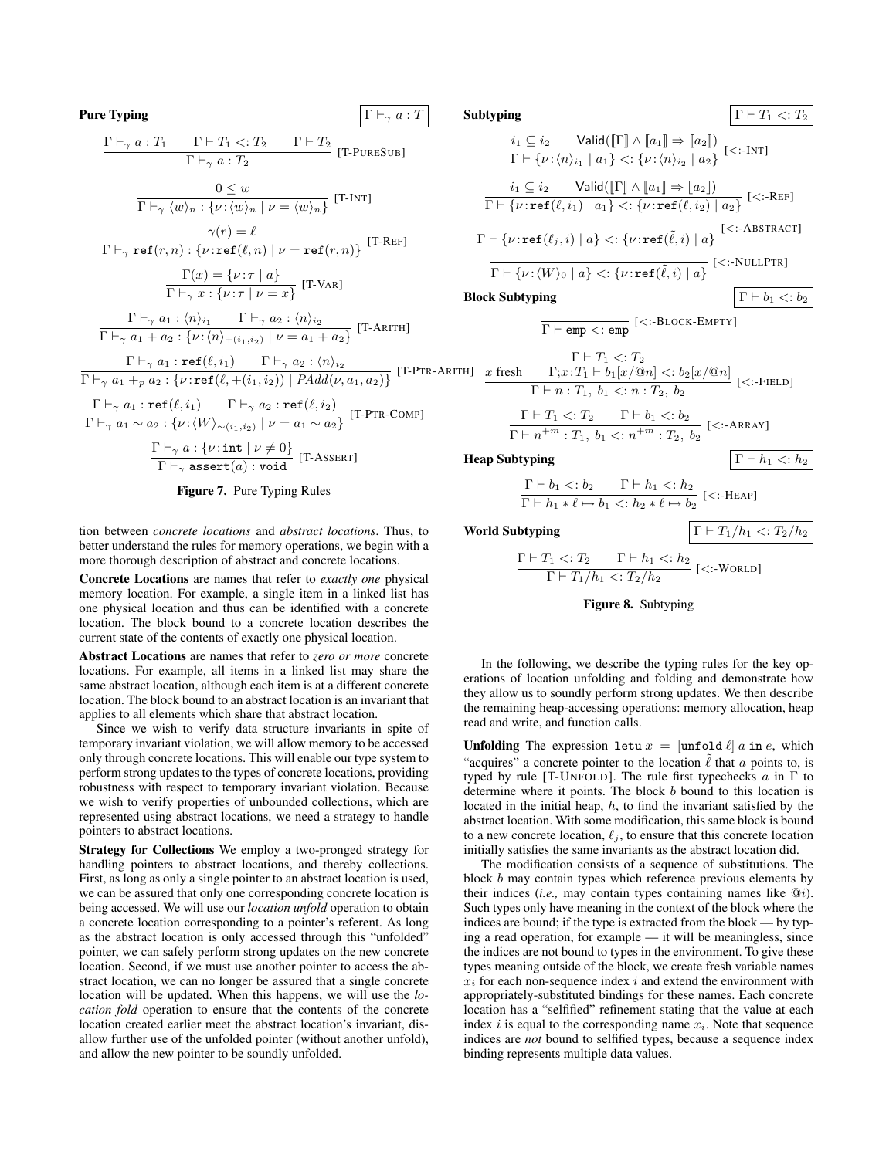| Pure Typing                                                                                                                      | $\Gamma \vdash_{\gamma} a : T_1$                                                                              | $\Gamma \vdash T_1 <: T_2$                                 | $\Gamma \vdash T_2$ |
|----------------------------------------------------------------------------------------------------------------------------------|---------------------------------------------------------------------------------------------------------------|------------------------------------------------------------|---------------------|
| $\Gamma \vdash_{\gamma} a : T_1$                                                                                                 | $\Gamma \vdash T_1 <: T_2$                                                                                    | $\Gamma \vdash T_2$                                        |                     |
| $0 \leq w$                                                                                                                       | $\Gamma \vdash_{\gamma} \langle w \rangle_n : \{ \nu : \langle w \rangle_n \mid \nu = \langle w \rangle_n \}$ | $\Gamma$ -INT]                                             |                     |
| $\frac{\gamma(r) = \ell}{\Gamma \vdash_{\gamma} \text{ref}(r, n) : \{ \nu : \text{ref}(\ell, n) \mid \nu = \text{ref}(r, n) \}}$ | $\Gamma \vdash_{\gamma} \text{ref}(r, n) : \{ \nu : \text{ref}(\ell, n) \mid \nu = \text{ref}(r, n) \}$       | $\Gamma \vdash_{\gamma} x : \{ \nu : \tau \mid \nu = x \}$ | $\Gamma$ -VAR]      |
| $\Gamma \vdash_{\gamma} a_1 : \langle n \rangle_{i_1}$                                                                           | $\Gamma \vdash_{\gamma} a_2 : \langle n \rangle_{i_2}$                                                        | $\Gamma$ -ARITH]                                           |                     |
| $\Gamma \vdash_{\gamma} a_1 + a_2 : \{ \nu : \langle n \rangle_{+(i_1, i_2)} \mid \nu = a_1 + a_2 \}$                            | $\Gamma$ -PR-ARITH]                                                                                           |                                                            |                     |
| $\Gamma \vdash_{\gamma} a_1 : \text{ref}(\ell, i_1)$                                                                             | $\Gamma \vdash_{\gamma} a_2 : \langle n \rangle_{i_2}$                                                        | $\Gamma$ -PR-ARITH                                         |                     |
| $\Gamma \vdash_{\gamma} a_1 : \text{ref}(\ell, i_1)$                                                                             | $\Gamma \vdash_{\gamma} a_2 : \text{ref}(\ell, i_2)$                                                          | $\Gamma$ -PR-COMP]                                         |                     |
| <                                                                                                                                |                                                                                                               |                                                            |                     |

<span id="page-7-1"></span>

tion between *concrete locations* and *abstract locations*. Thus, to better understand the rules for memory operations, we begin with a more thorough description of abstract and concrete locations.

Concrete Locations are names that refer to *exactly one* physical memory location. For example, a single item in a linked list has one physical location and thus can be identified with a concrete location. The block bound to a concrete location describes the current state of the contents of exactly one physical location.

Abstract Locations are names that refer to *zero or more* concrete locations. For example, all items in a linked list may share the same abstract location, although each item is at a different concrete location. The block bound to an abstract location is an invariant that applies to all elements which share that abstract location.

Since we wish to verify data structure invariants in spite of temporary invariant violation, we will allow memory to be accessed only through concrete locations. This will enable our type system to perform strong updates to the types of concrete locations, providing robustness with respect to temporary invariant violation. Because we wish to verify properties of unbounded collections, which are represented using abstract locations, we need a strategy to handle pointers to abstract locations.

Strategy for Collections We employ a two-pronged strategy for handling pointers to abstract locations, and thereby collections. First, as long as only a single pointer to an abstract location is used, we can be assured that only one corresponding concrete location is being accessed. We will use our *location unfold* operation to obtain a concrete location corresponding to a pointer's referent. As long as the abstract location is only accessed through this "unfolded" pointer, we can safely perform strong updates on the new concrete location. Second, if we must use another pointer to access the abstract location, we can no longer be assured that a single concrete location will be updated. When this happens, we will use the *location fold* operation to ensure that the contents of the concrete location created earlier meet the abstract location's invariant, disallow further use of the unfolded pointer (without another unfold), and allow the new pointer to be soundly unfolded.

$$
\frac{i_1 \subseteq i_2 \quad \text{Valid}([\![\Gamma]\!] \wedge [\![a_1]\!] \Rightarrow [\![a_2]\!])}{\Gamma \vdash \{\nu : \langle n \rangle_{i_1} \mid a_1\} < \colon \{\nu : \langle n \rangle_{i_2} \mid a_2\} } \text{[<:-INT]}
$$
\n
$$
\frac{i_1 \subseteq i_2 \quad \text{Valid}([\![\Gamma]\!] \wedge [\![a_1]\!] \Rightarrow [\![a_2]\!])}{\Gamma \vdash \{\nu : \text{ref}(\ell, i_1) \mid a_1\} < \colon \{\nu : \text{ref}(\ell, i_2) \mid a_2\} } \text{[<:-REF]}
$$
\n
$$
\frac{\Gamma \vdash \{\nu : \text{ref}(\ell_j, i) \mid a\} < \colon \{\nu : \text{ref}(\tilde{\ell}, i) \mid a\}}{\Gamma \vdash \{\nu : \langle W \rangle_0 \mid a\} < \colon \{\nu : \text{ref}(\tilde{\ell}, i) \mid a\}} \text{[<:-MULTR]}
$$
\nBlock Subtyping

\n
$$
\frac{\Gamma \vdash b_1 < \colon b_2}{\Gamma \vdash \text{emp} < \colon \text{emp}} \text{[<:-BLOCK-EMPTY]}
$$

$$
\begin{array}{rl}\n & \Gamma \vdash T_1 <: T_2 \\
\text{H]} & \underline{x \text{ fresh}} & \Gamma; \underline{x}: T_1 \vdash b_1[\underline{x}/@n] <: b_2[\underline{x}/@n] \\
 & \Gamma \vdash n: T_1, \ b_1 <: n: T_2, \ b_2\n\end{array} \text{[<:-FieLD]}
$$
\n
$$
\frac{\Gamma \vdash T_1 <: T_2 \qquad \Gamma \vdash b_1 <: b_2}{\Gamma \vdash n^{+m}: T_1, \ b_1 <: n^{+m}: T_2, \ b_2}\text{[<:-ARRAY]}
$$

**Heap Subtyping**  $|\Gamma \vdash h_1 \lt h_2|$ 

$$
\frac{\Gamma\vdash b_1<:b_2\qquad\Gamma\vdash h_1<:h_2}{\Gamma\vdash h_1\ast\ell\mapsto b_1<:h_2\ast\ell\mapsto b_2}\text{[<:-Heap]}
$$

World Subtyping  $\Gamma \vdash T_1/h_1 < T_2/h_2$ 

$$
\frac{\Gamma \vdash T_1 <: T_2 \qquad \Gamma \vdash h_1 <: h_2}{\Gamma \vdash T_1/h_1 <: T_2/h_2} \; [<: \text{WORD}]
$$

<span id="page-7-0"></span>Figure 8. Subtyping

In the following, we describe the typing rules for the key operations of location unfolding and folding and demonstrate how they allow us to soundly perform strong updates. We then describe the remaining heap-accessing operations: memory allocation, heap read and write, and function calls.

Unfolding The expression letu  $x = [\text{unfold} \ell]$  a in e, which "acquires" a concrete pointer to the location  $\tilde{\ell}$  that a points to, is typed by rule [T-UNFOLD]. The rule first typechecks  $\alpha$  in  $\Gamma$  to determine where it points. The block b bound to this location is located in the initial heap,  $h$ , to find the invariant satisfied by the abstract location. With some modification, this same block is bound to a new concrete location,  $\ell_j$ , to ensure that this concrete location initially satisfies the same invariants as the abstract location did.

The modification consists of a sequence of substitutions. The block b may contain types which reference previous elements by their indices (*i.e.,* may contain types containing names like @i). Such types only have meaning in the context of the block where the indices are bound; if the type is extracted from the block — by typing a read operation, for example — it will be meaningless, since the indices are not bound to types in the environment. To give these types meaning outside of the block, we create fresh variable names  $x_i$  for each non-sequence index  $i$  and extend the environment with appropriately-substituted bindings for these names. Each concrete location has a "selfified" refinement stating that the value at each index  $i$  is equal to the corresponding name  $x_i$ . Note that sequence indices are *not* bound to selfified types, because a sequence index binding represents multiple data values.

Subtyping  $|\Gamma \vdash T_1 \prec T_2|$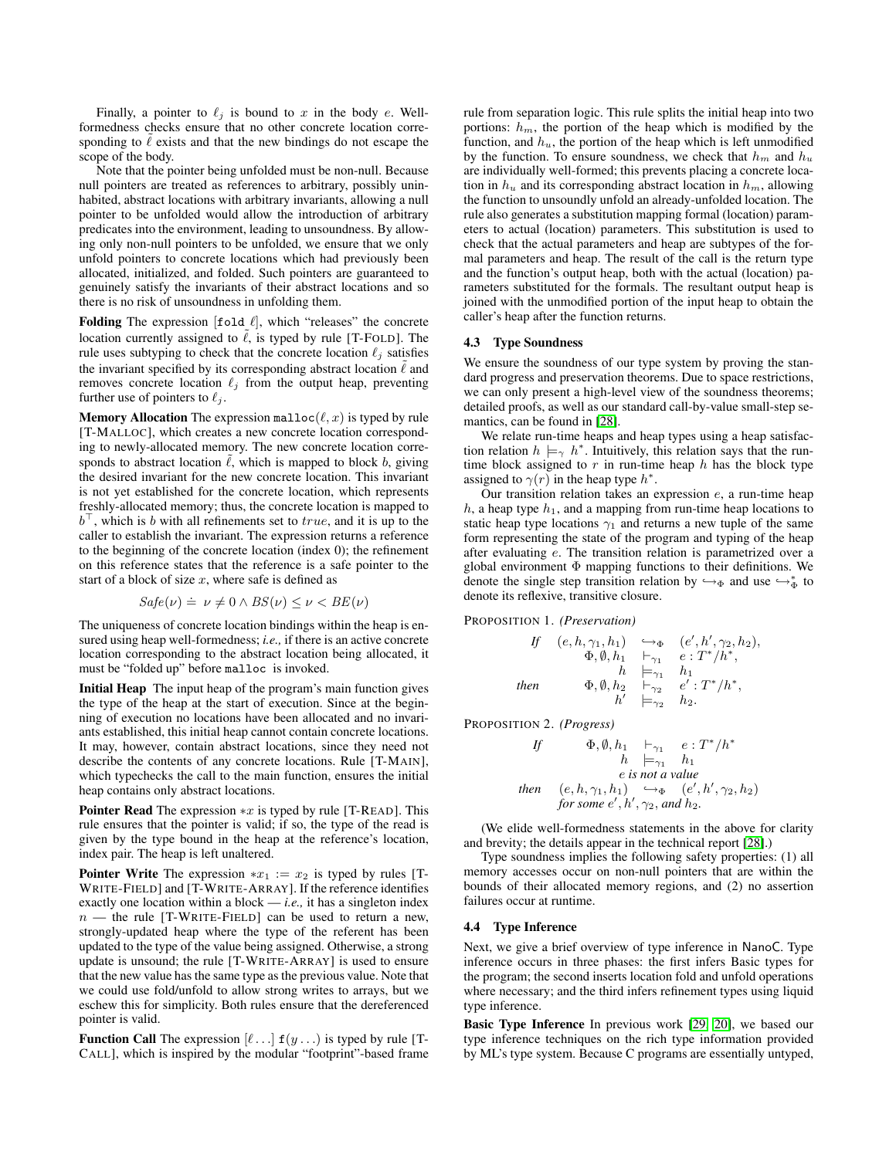Finally, a pointer to  $\ell_j$  is bound to x in the body e. Wellformedness checks ensure that no other concrete location corresponding to  $\ell$  exists and that the new bindings do not escape the scope of the body.

Note that the pointer being unfolded must be non-null. Because null pointers are treated as references to arbitrary, possibly uninhabited, abstract locations with arbitrary invariants, allowing a null pointer to be unfolded would allow the introduction of arbitrary predicates into the environment, leading to unsoundness. By allowing only non-null pointers to be unfolded, we ensure that we only unfold pointers to concrete locations which had previously been allocated, initialized, and folded. Such pointers are guaranteed to genuinely satisfy the invariants of their abstract locations and so there is no risk of unsoundness in unfolding them.

Folding The expression [fold  $\ell$ ], which "releases" the concrete location currently assigned to  $\tilde{\ell}$ , is typed by rule [T-FOLD]. The rule uses subtyping to check that the concrete location  $\ell_j$  satisfies the invariant specified by its corresponding abstract location  $\ell$  and removes concrete location  $\ell_j$  from the output heap, preventing further use of pointers to  $\ell_j$ .

**Memory Allocation** The expression malloc $(\ell, x)$  is typed by rule [T-MALLOC], which creates a new concrete location corresponding to newly-allocated memory. The new concrete location corresponds to abstract location  $\ell$ , which is mapped to block b, giving the desired invariant for the new concrete location. This invariant is not yet established for the concrete location, which represents freshly-allocated memory; thus, the concrete location is mapped to  $b^{\top}$ , which is b with all refinements set to true, and it is up to the caller to establish the invariant. The expression returns a reference to the beginning of the concrete location (index 0); the refinement on this reference states that the reference is a safe pointer to the start of a block of size  $x$ , where safe is defined as

$$
Safe(\nu) \doteq \nu \neq 0 \land BS(\nu) \leq \nu < BE(\nu)
$$

The uniqueness of concrete location bindings within the heap is ensured using heap well-formedness; *i.e.,* if there is an active concrete location corresponding to the abstract location being allocated, it must be "folded up" before malloc is invoked.

Initial Heap The input heap of the program's main function gives the type of the heap at the start of execution. Since at the beginning of execution no locations have been allocated and no invariants established, this initial heap cannot contain concrete locations. It may, however, contain abstract locations, since they need not describe the contents of any concrete locations. Rule [T-MAIN], which typechecks the call to the main function, ensures the initial heap contains only abstract locations.

Pointer Read The expression  $*x$  is typed by rule [T-READ]. This rule ensures that the pointer is valid; if so, the type of the read is given by the type bound in the heap at the reference's location, index pair. The heap is left unaltered.

**Pointer Write** The expression  $*x_1 := x_2$  is typed by rules [T-WRITE-FIELD] and [T-WRITE-ARRAY]. If the reference identifies exactly one location within a block — *i.e.*, it has a singleton index  $n$  — the rule [T-WRITE-FIELD] can be used to return a new, strongly-updated heap where the type of the referent has been updated to the type of the value being assigned. Otherwise, a strong update is unsound; the rule [T-WRITE-ARRAY] is used to ensure that the new value has the same type as the previous value. Note that we could use fold/unfold to allow strong writes to arrays, but we eschew this for simplicity. Both rules ensure that the dereferenced pointer is valid.

**Function Call** The expression  $[\ell \dots]$  **f** $(y \dots)$  is typed by rule [T-CALL], which is inspired by the modular "footprint"-based frame rule from separation logic. This rule splits the initial heap into two portions:  $h_m$ , the portion of the heap which is modified by the function, and  $h_u$ , the portion of the heap which is left unmodified by the function. To ensure soundness, we check that  $h_m$  and  $h_u$ are individually well-formed; this prevents placing a concrete location in  $h_u$  and its corresponding abstract location in  $h_m$ , allowing the function to unsoundly unfold an already-unfolded location. The rule also generates a substitution mapping formal (location) parameters to actual (location) parameters. This substitution is used to check that the actual parameters and heap are subtypes of the formal parameters and heap. The result of the call is the return type and the function's output heap, both with the actual (location) parameters substituted for the formals. The resultant output heap is joined with the unmodified portion of the input heap to obtain the caller's heap after the function returns.

#### 4.3 Type Soundness

We ensure the soundness of our type system by proving the standard progress and preservation theorems. Due to space restrictions, we can only present a high-level view of the soundness theorems; detailed proofs, as well as our standard call-by-value small-step semantics, can be found in [\[28\]](#page-12-12).

We relate run-time heaps and heap types using a heap satisfaction relation  $h \models_{\gamma} h^*$ . Intuitively, this relation says that the runtime block assigned to  $r$  in run-time heap  $h$  has the block type assigned to  $\gamma(r)$  in the heap type  $h^*$ .

Our transition relation takes an expression e, a run-time heap  $h$ , a heap type  $h_1$ , and a mapping from run-time heap locations to static heap type locations  $\gamma_1$  and returns a new tuple of the same form representing the state of the program and typing of the heap after evaluating e. The transition relation is parametrized over a global environment  $\Phi$  mapping functions to their definitions. We denote the single step transition relation by  $\hookrightarrow_{\Phi}$  and use  $\hookrightarrow_{\Phi}^*$  to denote its reflexive, transitive closure.

PROPOSITION 1. *(Preservation)*

$$
\begin{array}{ccccc} \textit{If} & (e,h,\gamma_1,h_1) & \hookrightarrow_{\Phi} & (e',h',\gamma_2,h_2),\\ & \Phi,\emptyset,h_1 & \vdash_{\gamma_1} & e:T^*/h^*,\\ & h & \vdash_{\gamma_1} & h_1\\ \textit{then} & \Phi,\emptyset,h_2 & \vdash_{\gamma_2} & e':T^*/h^*,\\ & h' & \vdash_{\gamma_2} & h_2. \end{array}
$$

PROPOSITION 2. *(Progress)*

If 
$$
\Phi, \emptyset, h_1 \vdash_{\gamma_1} e : T^*/h^*
$$
  
\n $h \models_{\gamma_1} h_1$   
\n*e is not a value*  
\nthen  $(e, h, \gamma_1, h_1) \hookrightarrow_{\Phi} (e', h', \gamma_2, h_2)$   
\nfor some  $e', h', \gamma_2$ , and  $h_2$ .

(We elide well-formedness statements in the above for clarity and brevity; the details appear in the technical report [\[28\]](#page-12-12).)

Type soundness implies the following safety properties: (1) all memory accesses occur on non-null pointers that are within the bounds of their allocated memory regions, and (2) no assertion failures occur at runtime.

#### <span id="page-8-0"></span>4.4 Type Inference

Next, we give a brief overview of type inference in NanoC. Type inference occurs in three phases: the first infers Basic types for the program; the second inserts location fold and unfold operations where necessary; and the third infers refinement types using liquid type inference.

Basic Type Inference In previous work [\[29,](#page-12-6) [20\]](#page-12-7), we based our type inference techniques on the rich type information provided by ML's type system. Because C programs are essentially untyped,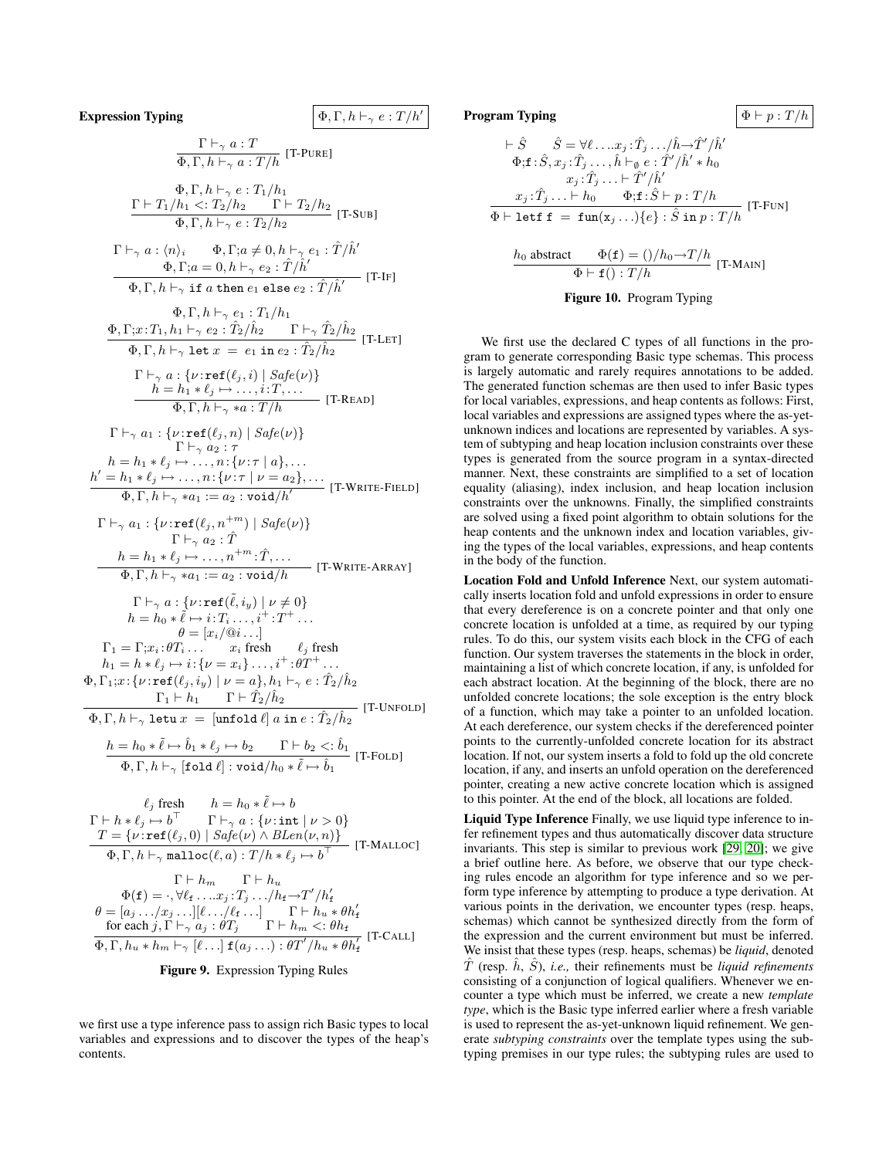**Expression Typing**  $\boxed{\Phi, \Gamma, h \vdash_{\gamma} e : T / h'}$ 

$$
\frac{\Gamma \vdash_{\gamma} a: T}{\Phi, \Gamma, h \vdash_{\gamma} a: T/h} [\text{T-PURE}] \n\frac{\Phi, \Gamma, h \vdash_{\gamma} e: T_1/h_1}{\Phi, \Gamma, h \vdash_{\gamma} e: T_2/h_2} [\text{T-SUB}] \n\frac{\Gamma \vdash T_1/h_1 <: T_2/h_2 & \Gamma \vdash T_2/h_2}{\Phi, \Gamma, h \vdash_{\gamma} e: T_2/h_2} [\text{T-SUB}] \n\Gamma \vdash_{\gamma} a: \langle n \rangle_i & \Phi, \Gamma; a \neq 0, h \vdash_{\gamma} e_1: \hat{T}/\hat{h}' \\\hline \Phi, \Gamma; a = 0, h \vdash_{\gamma} e_2: \hat{T}/\hat{h}' \\\hline \Phi, \Gamma, h \vdash_{\gamma} \text{ if a then } e_1 \text{ else } e_2: \hat{T}/\hat{h}' \\\hline \Phi, \Gamma, h \vdash_{\gamma} e_1: T_1/h_1 \\\hline \Phi, \Gamma; x: T_1, h_1 \vdash_{\gamma} e_2: \hat{T}_2/\hat{h}_2 & \Gamma \vdash_{\gamma} \hat{T}_2/\hat{h}_2 \\\hline \Gamma \vdash_{\gamma} a: \{\nu : \text{ref}(\ell_j, i) \mid Safe(\nu)\} \\\hline h = h_1 * \ell_j \vdash \cdots, i: T, \cdots \\\hline \Phi, \Gamma, h \vdash_{\gamma} * a: T/h \\\Gamma \vdash_{\gamma} a_2: \tau \\\hline h = h_1 * \ell_j \mapsto \ldots, n: \{\nu : \tau \mid a\}, \ldots \\\h' = h_1 * \ell_j \mapsto \ldots, n: \{\nu : \tau \mid a\}, \ldots \\\h' = h_1 * \ell_j \mapsto \ldots, n: \{\nu : \tau \mid a\}, \ldots \\\hline \Phi, \Gamma, h \vdash_{\gamma} * a_1: \exists a_2: \text{void}/h' \\\hline \Gamma \vdash_{\gamma} a_2: \hat{T} \\\hline h = h_1 * \ell_j \mapsto \ldots, n \vdash \ldots \hat{T}, \ldots \\\hline \Phi, \Gamma, h \vdash_{\gamma} * a_1: \exists a_2: \text{void}/h \\\hline \Gamma \vdash_{\gamma} a: \{\nu : \text{ref
$$

$$
\Gamma \vdash h * \ell_j \mapsto b^{\top} \qquad \Gamma \vdash_{\gamma} a : \{\nu : \text{int} \mid \nu > 0\}
$$
\n
$$
T = \{\nu : \text{ref}(\ell_j, 0) \mid \text{Safe}(\nu) \land \text{BLen}(\nu, n)\}
$$
\n
$$
\Phi, \Gamma, h \vdash_{\gamma} \text{malloc}(\ell, a) : T/h * \ell_j \mapsto b^{\top} \qquad [\text{T-MALLOC}]
$$
\n
$$
\Gamma \vdash h_m \qquad \Gamma \vdash h_u
$$
\n
$$
\Phi(\mathbf{f}) = \cdot, \forall \ell_t \dots x_j : T_j \dots / h_t \to T'/h'_t
$$
\n
$$
\theta = [a_j \dots / x_j \dots][\ell \dots / \ell_t \dots] \qquad \Gamma \vdash h_u * \theta h'_t
$$
\nfor each  $j, \Gamma \vdash_{\gamma} a_j : \theta T_j \qquad \Gamma \vdash h_m \leq : \theta h_t$ \n
$$
\overline{\Phi, \Gamma, h_u * h_m \vdash_{\gamma} [\ell \dots] \mathbf{f}(a_j \dots) : \theta T'/h_u * \theta h'_t} \qquad [\text{T-CALL}]
$$

<span id="page-9-0"></span>

we first use a type inference pass to assign rich Basic types to local variables and expressions and to discover the types of the heap's contents.

**Program Typing**  $\Phi \vdash p : T/h$ 

 $\hat{S} \qquad \hat{S} = \forall \ell \ldots x_j : \hat{T}_j \ldots / \hat{h} \rightarrow \hat{T}' / \hat{h}'$  $\Phi;{\bf f}:\hat{S},x_j\!:\!\hat{T}_j\ldots,\hat{h}\vdash_{\emptyset} e:\hat{T}'/\hat{h}'\ast h_0$  $x_j\!:\!\hat{T}_j\ldots \vdash \hat{T}'/\hat{h}'$  $x_j : \hat{T}_j \ldots \vdash h_0 \qquad \Phi; \mathbf{f} : \hat{S} \vdash p : T / h$  $\frac{1}{\Phi + \text{left f}} = \text{fun}(x_j ...)\{e\} : \hat{S} \text{ in } p : T/h$  [T-FUN]  $\frac{h_0 \text{ abstract}}{\Phi \vdash \mathbf{f}() : T/h}$  [T-MAIN]

<span id="page-9-1"></span>Figure 10. Program Typing

We first use the declared C types of all functions in the program to generate corresponding Basic type schemas. This process is largely automatic and rarely requires annotations to be added. The generated function schemas are then used to infer Basic types for local variables, expressions, and heap contents as follows: First, local variables and expressions are assigned types where the as-yetunknown indices and locations are represented by variables. A system of subtyping and heap location inclusion constraints over these types is generated from the source program in a syntax-directed manner. Next, these constraints are simplified to a set of location equality (aliasing), index inclusion, and heap location inclusion constraints over the unknowns. Finally, the simplified constraints are solved using a fixed point algorithm to obtain solutions for the heap contents and the unknown index and location variables, giving the types of the local variables, expressions, and heap contents in the body of the function.

Location Fold and Unfold Inference Next, our system automatically inserts location fold and unfold expressions in order to ensure that every dereference is on a concrete pointer and that only one concrete location is unfolded at a time, as required by our typing rules. To do this, our system visits each block in the CFG of each function. Our system traverses the statements in the block in order, maintaining a list of which concrete location, if any, is unfolded for each abstract location. At the beginning of the block, there are no unfolded concrete locations; the sole exception is the entry block of a function, which may take a pointer to an unfolded location. At each dereference, our system checks if the dereferenced pointer points to the currently-unfolded concrete location for its abstract location. If not, our system inserts a fold to fold up the old concrete location, if any, and inserts an unfold operation on the dereferenced pointer, creating a new active concrete location which is assigned to this pointer. At the end of the block, all locations are folded.

Liquid Type Inference Finally, we use liquid type inference to infer refinement types and thus automatically discover data structure invariants. This step is similar to previous work [\[29,](#page-12-6) [20\]](#page-12-7); we give a brief outline here. As before, we observe that our type checking rules encode an algorithm for type inference and so we perform type inference by attempting to produce a type derivation. At various points in the derivation, we encounter types (resp. heaps, schemas) which cannot be synthesized directly from the form of the expression and the current environment but must be inferred. We insist that these types (resp. heaps, schemas) be *liquid*, denoted  $\hat{T}$  (resp.  $\hat{h}$ ,  $\hat{S}$ ), *i.e.*, their refinements must be *liquid refinements* consisting of a conjunction of logical qualifiers. Whenever we encounter a type which must be inferred, we create a new *template type*, which is the Basic type inferred earlier where a fresh variable is used to represent the as-yet-unknown liquid refinement. We generate *subtyping constraints* over the template types using the subtyping premises in our type rules; the subtyping rules are used to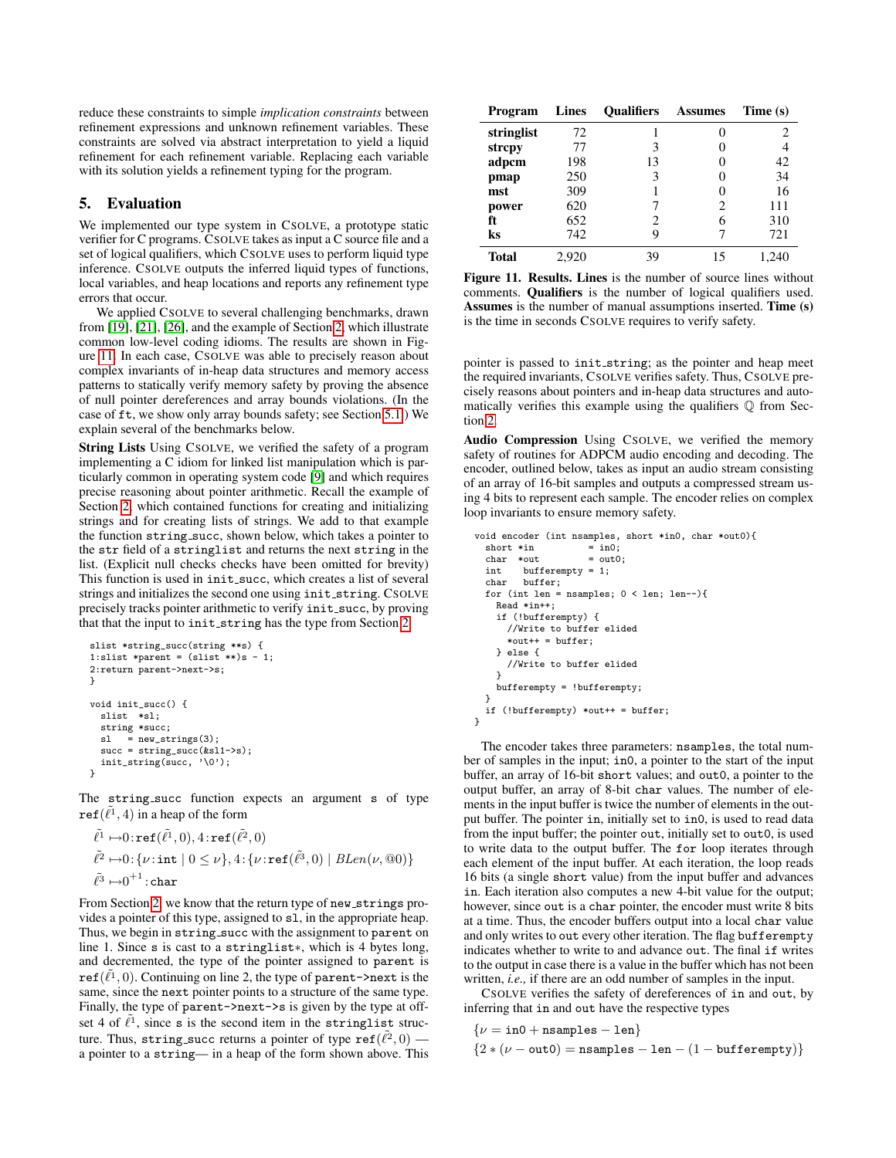reduce these constraints to simple *implication constraints* between refinement expressions and unknown refinement variables. These constraints are solved via abstract interpretation to yield a liquid refinement for each refinement variable. Replacing each variable with its solution yields a refinement typing for the program.

## <span id="page-10-0"></span>5. Evaluation

We implemented our type system in CSOLVE, a prototype static verifier for C programs. CSOLVE takes as input a C source file and a set of logical qualifiers, which CSOLVE uses to perform liquid type inference. CSOLVE outputs the inferred liquid types of functions, local variables, and heap locations and reports any refinement type errors that occur.

We applied CSOLVE to several challenging benchmarks, drawn from [\[19\]](#page-12-13), [\[21\]](#page-12-14), [\[26\]](#page-12-15), and the example of Section [2,](#page-1-0) which illustrate common low-level coding idioms. The results are shown in Figure [11.](#page-10-1) In each case, CSOLVE was able to precisely reason about complex invariants of in-heap data structures and memory access patterns to statically verify memory safety by proving the absence of null pointer dereferences and array bounds violations. (In the case of ft, we show only array bounds safety; see Section [5.1.](#page-11-1)) We explain several of the benchmarks below.

String Lists Using CSOLVE, we verified the safety of a program implementing a C idiom for linked list manipulation which is particularly common in operating system code [\[9\]](#page-12-16) and which requires precise reasoning about pointer arithmetic. Recall the example of Section [2,](#page-1-0) which contained functions for creating and initializing strings and for creating lists of strings. We add to that example the function string succ, shown below, which takes a pointer to the str field of a stringlist and returns the next string in the list. (Explicit null checks checks have been omitted for brevity) This function is used in init\_succ, which creates a list of several strings and initializes the second one using init\_string. CSOLVE precisely tracks pointer arithmetic to verify init succ, by proving that that the input to init\_string has the type from Section [2.](#page-1-0)

```
slist *string_succ(string **s) {
1:slist *parent = (slist **)s - 1;2:return parent->next->s;
}
void init succ() {
 slist *sl;
  string *succ;
 sl = new_strings(3);
  succ = string_succ(&sl1->s);
 init_string(succ, '\0');
}
```
The string succ function expects an argument s of type  $\texttt{ref}(\tilde{\ell}^1, 4)$  in a heap of the form

$$
\tilde{\ell}^{1} \mapsto 0 : \text{ref}(\tilde{\ell}^{1}, 0), 4 : \text{ref}(\tilde{\ell}^{2}, 0)
$$
\n
$$
\tilde{\ell}^{2} \mapsto 0 : \{ \nu : \text{int} \mid 0 \leq \nu \}, 4 : \{ \nu : \text{ref}(\tilde{\ell}^{3}, 0) \mid \text{BLen}(\nu, @0) \}
$$
\n
$$
\tilde{\ell}^{3} \mapsto 0^{+1} : \text{char}
$$

From Section [2,](#page-1-0) we know that the return type of new strings provides a pointer of this type, assigned to s1, in the appropriate heap. Thus, we begin in string\_succ with the assignment to parent on line 1. Since s is cast to a stringlist∗, which is 4 bytes long, and decremented, the type of the pointer assigned to parent is ref( $\tilde{(\ell^1}, 0)$ ). Continuing on line 2, the type of parent->next is the same, since the next pointer points to a structure of the same type. Finally, the type of parent->next->s is given by the type at offset 4 of  $\tilde{\ell}^1$ , since s is the second item in the stringlist structure. Thus, string\_succ returns a pointer of type  $\mathbf{ref}(\tilde{\ell}^2,0)$  a pointer to a string— in a heap of the form shown above. This

| Program    | <b>Lines</b> | <b>Oualifiers</b> | <b>Assumes</b> | Time (s) |
|------------|--------------|-------------------|----------------|----------|
| stringlist | 72           |                   |                | 2        |
| strcpy     | 77           | 3                 |                |          |
| adpcm      | 198          | 13                |                | 42       |
| pmap       | 250          | 3                 |                | 34       |
| mst        | 309          |                   |                | 16       |
| power      | 620          |                   | 2              | 111      |
| ft         | 652          | 2                 | 6              | 310      |
| ks         | 742          | 9                 |                | 721      |
| Total      | 2.920        | 39                | 15             | 1.240    |

<span id="page-10-1"></span>Figure 11. Results. Lines is the number of source lines without comments. Qualifiers is the number of logical qualifiers used. Assumes is the number of manual assumptions inserted. Time (s) is the time in seconds CSOLVE requires to verify safety.

pointer is passed to init string; as the pointer and heap meet the required invariants, CSOLVE verifies safety. Thus, CSOLVE precisely reasons about pointers and in-heap data structures and automatically verifies this example using the qualifiers  $Q$  from Section [2.](#page-1-0)

Audio Compression Using CSOLVE, we verified the memory safety of routines for ADPCM audio encoding and decoding. The encoder, outlined below, takes as input an audio stream consisting of an array of 16-bit samples and outputs a compressed stream using 4 bits to represent each sample. The encoder relies on complex loop invariants to ensure memory safety.

```
void encoder (int nsamples, short *in0, char *out0){<br>short *in = in0;
  short *in<br>char *out
  char *out = out0;<br>int bufferempty = 1:
          bufferempty = 1;char buffer;
  for (int len = nsamples; 0 < len; len--){
    Read *in++;
    if (!bufferempty) {
       //Write to buffer elided
       *out++ = buffer:
    } else {
      //Write to buffer elided
    }
    bufferempty = !bufferempty;
  }
  if (!bufferempty) *out++ = buffer;
}
```
The encoder takes three parameters: nsamples, the total number of samples in the input; in0, a pointer to the start of the input buffer, an array of 16-bit short values; and out0, a pointer to the output buffer, an array of 8-bit char values. The number of elements in the input buffer is twice the number of elements in the output buffer. The pointer in, initially set to in0, is used to read data from the input buffer; the pointer out, initially set to out0, is used to write data to the output buffer. The for loop iterates through each element of the input buffer. At each iteration, the loop reads 16 bits (a single short value) from the input buffer and advances in. Each iteration also computes a new 4-bit value for the output; however, since out is a char pointer, the encoder must write 8 bits at a time. Thus, the encoder buffers output into a local char value and only writes to out every other iteration. The flag bufferempty indicates whether to write to and advance out. The final if writes to the output in case there is a value in the buffer which has not been written, *i.e.,* if there are an odd number of samples in the input.

CSOLVE verifies the safety of dereferences of in and out, by inferring that in and out have the respective types

$$
{\nu = \text{in0} + \text{nsamples} - \text{len}}
$$
  

$$
{2 * (\nu - \text{out0}) = \text{nsamples} - \text{len} - (1 - \text{bufferempty})}
$$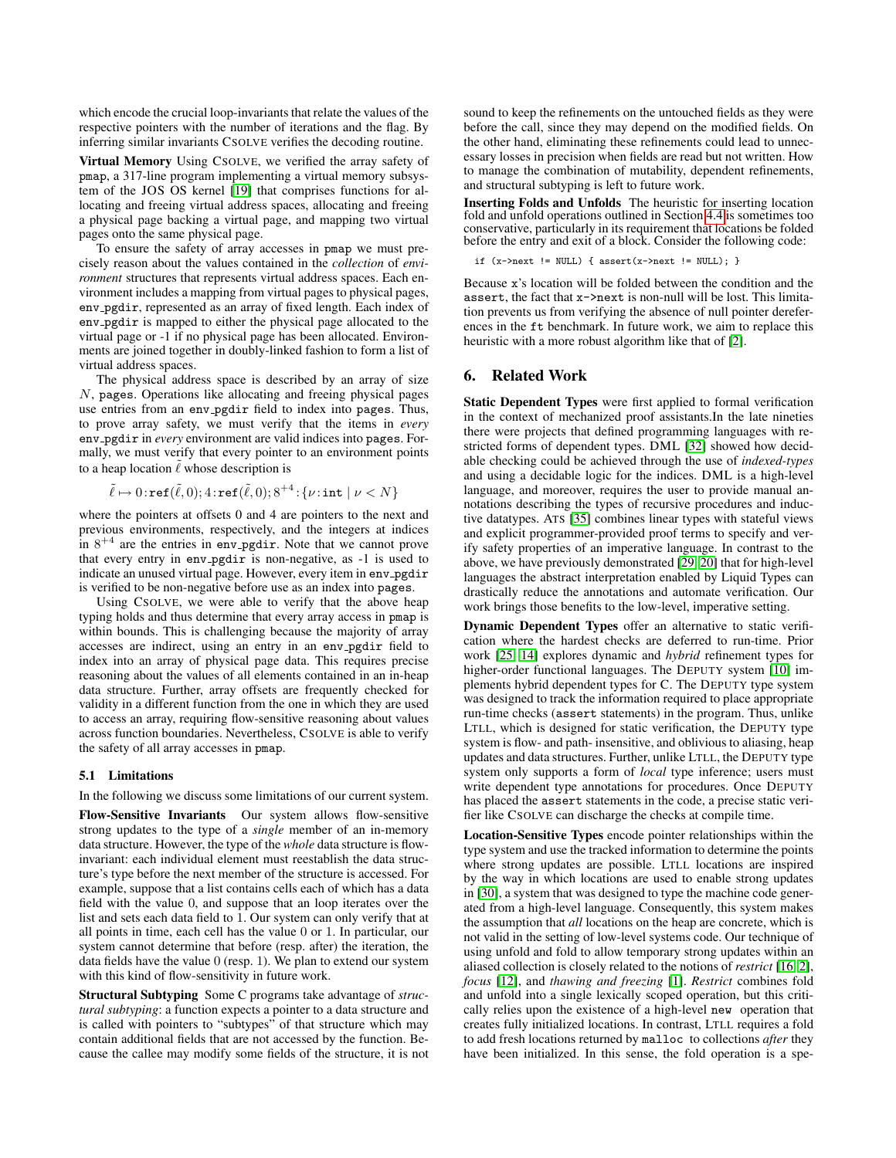which encode the crucial loop-invariants that relate the values of the respective pointers with the number of iterations and the flag. By inferring similar invariants CSOLVE verifies the decoding routine.

Virtual Memory Using CSOLVE, we verified the array safety of pmap, a 317-line program implementing a virtual memory subsystem of the JOS OS kernel [\[19\]](#page-12-13) that comprises functions for allocating and freeing virtual address spaces, allocating and freeing a physical page backing a virtual page, and mapping two virtual pages onto the same physical page.

To ensure the safety of array accesses in pmap we must precisely reason about the values contained in the *collection* of *environment* structures that represents virtual address spaces. Each environment includes a mapping from virtual pages to physical pages, env pgdir, represented as an array of fixed length. Each index of env pgdir is mapped to either the physical page allocated to the virtual page or -1 if no physical page has been allocated. Environments are joined together in doubly-linked fashion to form a list of virtual address spaces.

The physical address space is described by an array of size N, pages. Operations like allocating and freeing physical pages use entries from an env pgdir field to index into pages. Thus, to prove array safety, we must verify that the items in *every* env pgdir in *every* environment are valid indices into pages. Formally, we must verify that every pointer to an environment points to a heap location  $\tilde{\ell}$  whose description is

$$
\tilde{\ell} \mapsto 0 \colon \mathtt{ref}(\tilde{\ell}, 0); 4 \colon \mathtt{ref}(\tilde{\ell}, 0); 8^{+4} : \{\nu : \mathtt{int} \mid \nu < N\}
$$

where the pointers at offsets 0 and 4 are pointers to the next and previous environments, respectively, and the integers at indices in  $8^{+4}$  are the entries in env-pgdir. Note that we cannot prove that every entry in env pgdir is non-negative, as -1 is used to indicate an unused virtual page. However, every item in env\_pgdir is verified to be non-negative before use as an index into pages.

Using CSOLVE, we were able to verify that the above heap typing holds and thus determine that every array access in pmap is within bounds. This is challenging because the majority of array accesses are indirect, using an entry in an env pgdir field to index into an array of physical page data. This requires precise reasoning about the values of all elements contained in an in-heap data structure. Further, array offsets are frequently checked for validity in a different function from the one in which they are used to access an array, requiring flow-sensitive reasoning about values across function boundaries. Nevertheless, CSOLVE is able to verify the safety of all array accesses in pmap.

## <span id="page-11-1"></span>5.1 Limitations

In the following we discuss some limitations of our current system.

Flow-Sensitive Invariants Our system allows flow-sensitive strong updates to the type of a *single* member of an in-memory data structure. However, the type of the *whole* data structure is flowinvariant: each individual element must reestablish the data structure's type before the next member of the structure is accessed. For example, suppose that a list contains cells each of which has a data field with the value 0, and suppose that an loop iterates over the list and sets each data field to 1. Our system can only verify that at all points in time, each cell has the value 0 or 1. In particular, our system cannot determine that before (resp. after) the iteration, the data fields have the value 0 (resp. 1). We plan to extend our system with this kind of flow-sensitivity in future work.

Structural Subtyping Some C programs take advantage of *structural subtyping*: a function expects a pointer to a data structure and is called with pointers to "subtypes" of that structure which may contain additional fields that are not accessed by the function. Because the callee may modify some fields of the structure, it is not

sound to keep the refinements on the untouched fields as they were before the call, since they may depend on the modified fields. On the other hand, eliminating these refinements could lead to unnecessary losses in precision when fields are read but not written. How to manage the combination of mutability, dependent refinements, and structural subtyping is left to future work.

Inserting Folds and Unfolds The heuristic for inserting location fold and unfold operations outlined in Section [4.4](#page-8-0) is sometimes too conservative, particularly in its requirement that locations be folded before the entry and exit of a block. Consider the following code:

```
if (x->next != NULL) { assert(x->next != NULL); }
```
Because x's location will be folded between the condition and the assert, the fact that x->next is non-null will be lost. This limitation prevents us from verifying the absence of null pointer dereferences in the ft benchmark. In future work, we aim to replace this heuristic with a more robust algorithm like that of [\[2\]](#page-12-17).

## <span id="page-11-0"></span>6. Related Work

Static Dependent Types were first applied to formal verification in the context of mechanized proof assistants.In the late nineties there were projects that defined programming languages with restricted forms of dependent types. DML [\[32\]](#page-12-18) showed how decidable checking could be achieved through the use of *indexed-types* and using a decidable logic for the indices. DML is a high-level language, and moreover, requires the user to provide manual annotations describing the types of recursive procedures and inductive datatypes. ATS [\[35\]](#page-12-19) combines linear types with stateful views and explicit programmer-provided proof terms to specify and verify safety properties of an imperative language. In contrast to the above, we have previously demonstrated [\[29,](#page-12-6) [20\]](#page-12-7) that for high-level languages the abstract interpretation enabled by Liquid Types can drastically reduce the annotations and automate verification. Our work brings those benefits to the low-level, imperative setting.

Dynamic Dependent Types offer an alternative to static verification where the hardest checks are deferred to run-time. Prior work [\[25,](#page-12-8) [14\]](#page-12-9) explores dynamic and *hybrid* refinement types for higher-order functional languages. The DEPUTY system [\[10\]](#page-12-20) implements hybrid dependent types for C. The DEPUTY type system was designed to track the information required to place appropriate run-time checks (assert statements) in the program. Thus, unlike LTLL, which is designed for static verification, the DEPUTY type system is flow- and path- insensitive, and oblivious to aliasing, heap updates and data structures. Further, unlike LTLL, the DEPUTY type system only supports a form of *local* type inference; users must write dependent type annotations for procedures. Once DEPUTY has placed the assert statements in the code, a precise static verifier like CSOLVE can discharge the checks at compile time.

Location-Sensitive Types encode pointer relationships within the type system and use the tracked information to determine the points where strong updates are possible. LTLL locations are inspired by the way in which locations are used to enable strong updates in [\[30\]](#page-12-21), a system that was designed to type the machine code generated from a high-level language. Consequently, this system makes the assumption that *all* locations on the heap are concrete, which is not valid in the setting of low-level systems code. Our technique of using unfold and fold to allow temporary strong updates within an aliased collection is closely related to the notions of *restrict* [\[16,](#page-12-22) [2\]](#page-12-17), *focus* [\[12\]](#page-12-23), and *thawing and freezing* [\[1\]](#page-12-24). *Restrict* combines fold and unfold into a single lexically scoped operation, but this critically relies upon the existence of a high-level new operation that creates fully initialized locations. In contrast, LTLL requires a fold to add fresh locations returned by malloc to collections *after* they have been initialized. In this sense, the fold operation is a spe